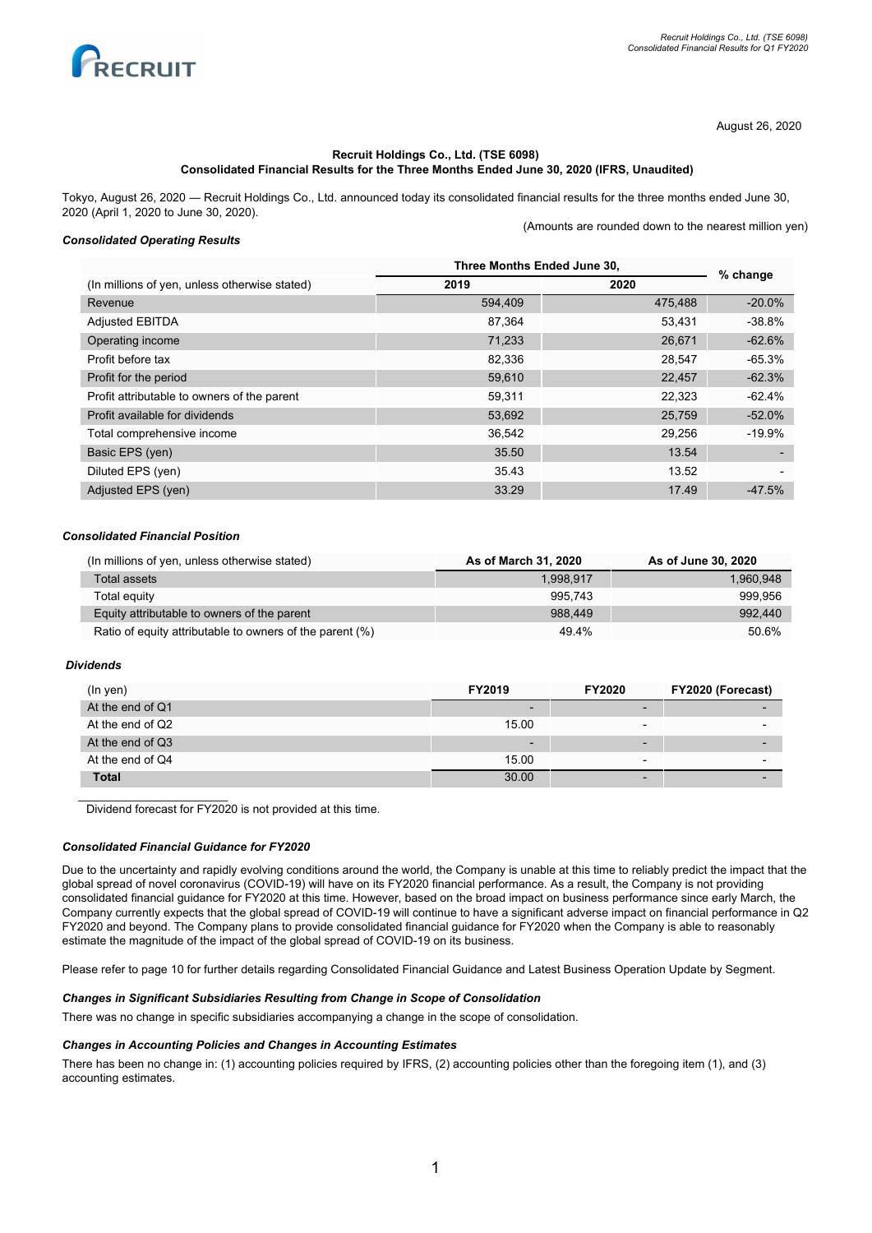

(Amounts are rounded down to the nearest million yen)

August 26, 2020

## **Recruit Holdings Co., Ltd. (TSE 6098) Consolidated Financial Results for the Three Months Ended June 30, 2020 (IFRS, Unaudited)**

Tokyo, August 26, 2020 ― Recruit Holdings Co., Ltd. announced today its consolidated financial results for the three months ended June 30, 2020 (April 1, 2020 to June 30, 2020).

## *Consolidated Operating Results*

|                                               | Three Months Ended June 30, |         | % change  |
|-----------------------------------------------|-----------------------------|---------|-----------|
| (In millions of yen, unless otherwise stated) | 2019                        | 2020    |           |
| Revenue                                       | 594,409                     | 475,488 | $-20.0\%$ |
| <b>Adjusted EBITDA</b>                        | 87.364                      | 53.431  | $-38.8%$  |
| Operating income                              | 71,233                      | 26,671  | $-62.6%$  |
| Profit before tax                             | 82.336                      | 28.547  | $-65.3%$  |
| Profit for the period                         | 59,610                      | 22,457  | $-62.3%$  |
| Profit attributable to owners of the parent   | 59.311                      | 22.323  | $-62.4%$  |
| Profit available for dividends                | 53,692                      | 25,759  | $-52.0%$  |
| Total comprehensive income                    | 36,542                      | 29,256  | $-19.9%$  |
| Basic EPS (yen)                               | 35.50                       | 13.54   |           |
| Diluted EPS (yen)                             | 35.43                       | 13.52   |           |
| Adjusted EPS (yen)                            | 33.29                       | 17.49   | $-47.5%$  |

## *Consolidated Financial Position*

| (In millions of yen, unless otherwise stated)            | As of March 31, 2020 | As of June 30, 2020 |
|----------------------------------------------------------|----------------------|---------------------|
| Total assets                                             | 1.998.917            | 1.960.948           |
| Total equity                                             | 995.743              | 999.956             |
| Equity attributable to owners of the parent              | 988.449              | 992,440             |
| Ratio of equity attributable to owners of the parent (%) | 49.4%                | 50.6%               |

## *Dividends*

| $(ln$ yen $)$    | FY2019                   | <b>FY2020</b>            | FY2020 (Forecast) |
|------------------|--------------------------|--------------------------|-------------------|
| At the end of Q1 | $\overline{\phantom{0}}$ | $\overline{\phantom{0}}$ |                   |
| At the end of Q2 | 15.00                    | $\overline{\phantom{0}}$ |                   |
| At the end of Q3 | -                        | -                        |                   |
| At the end of Q4 | 15.00                    | $\overline{\phantom{0}}$ |                   |
| <b>Total</b>     | 30.00                    | -                        |                   |

Dividend forecast for FY2020 is not provided at this time.

### *Consolidated Financial Guidance for FY2020*

 $\overline{\phantom{a}}$  , and the set of the set of the set of the set of the set of the set of the set of the set of the set of the set of the set of the set of the set of the set of the set of the set of the set of the set of the s

Due to the uncertainty and rapidly evolving conditions around the world, the Company is unable at this time to reliably predict the impact that the global spread of novel coronavirus (COVID-19) will have on its FY2020 financial performance. As a result, the Company is not providing consolidated financial guidance for FY2020 at this time. However, based on the broad impact on business performance since early March, the Company currently expects that the global spread of COVID-19 will continue to have a significant adverse impact on financial performance in Q2 FY2020 and beyond. The Company plans to provide consolidated financial guidance for FY2020 when the Company is able to reasonably estimate the magnitude of the impact of the global spread of COVID-19 on its business.

Please refer to page 10 for further details regarding Consolidated Financial Guidance and Latest Business Operation Update by Segment.

## *Changes in Significant Subsidiaries Resulting from Change in Scope of Consolidation*

There was no change in specific subsidiaries accompanying a change in the scope of consolidation.

## *Changes in Accounting Policies and Changes in Accounting Estimates*

There has been no change in: (1) accounting policies required by IFRS, (2) accounting policies other than the foregoing item (1), and (3) accounting estimates.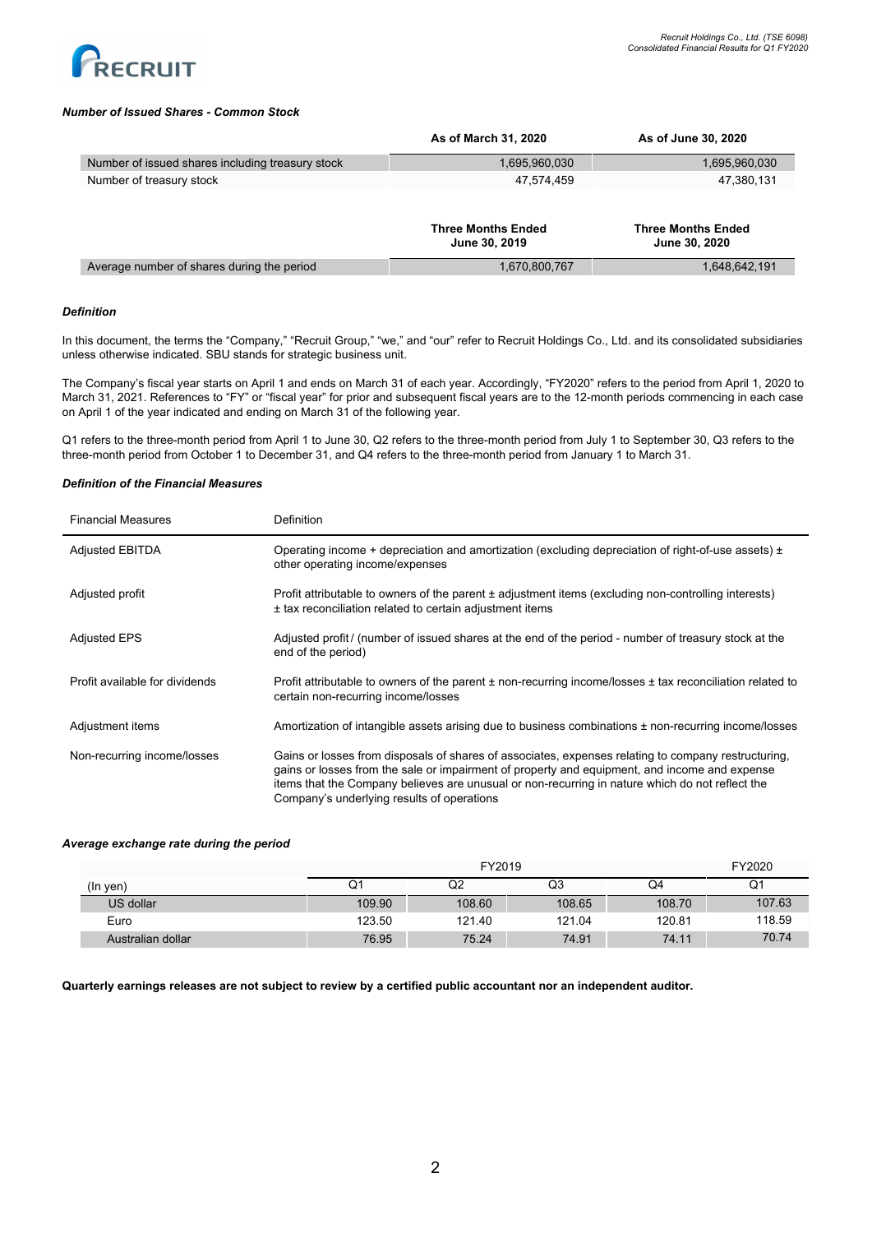

## *Number of Issued Shares - Common Stock*

|                                                  | As of March 31, 2020      | As of June 30, 2020       |
|--------------------------------------------------|---------------------------|---------------------------|
| Number of issued shares including treasury stock | 1,695,960,030             | 1,695,960,030             |
| Number of treasury stock                         | 47.574.459                | 47,380,131                |
|                                                  | <b>Three Months Ended</b> | <b>Three Months Ended</b> |
|                                                  | June 30, 2019             | June 30, 2020             |
| Average number of shares during the period       | 1,670,800,767             | 1,648,642,191             |

## *Definition*

In this document, the terms the "Company," "Recruit Group," "we," and "our" refer to Recruit Holdings Co., Ltd. and its consolidated subsidiaries unless otherwise indicated. SBU stands for strategic business unit.

The Company's fiscal year starts on April 1 and ends on March 31 of each year. Accordingly, "FY2020" refers to the period from April 1, 2020 to March 31, 2021. References to "FY" or "fiscal year" for prior and subsequent fiscal years are to the 12-month periods commencing in each case on April 1 of the year indicated and ending on March 31 of the following year.

Q1 refers to the three-month period from April 1 to June 30, Q2 refers to the three-month period from July 1 to September 30, Q3 refers to the three-month period from October 1 to December 31, and Q4 refers to the three-month period from January 1 to March 31.

# *Definition of the Financial Measures*

| <b>Financial Measures</b>      | Definition                                                                                                                                                                                                                                                                                                                                            |
|--------------------------------|-------------------------------------------------------------------------------------------------------------------------------------------------------------------------------------------------------------------------------------------------------------------------------------------------------------------------------------------------------|
| <b>Adjusted EBITDA</b>         | Operating income + depreciation and amortization (excluding depreciation of right-of-use assets) $\pm$<br>other operating income/expenses                                                                                                                                                                                                             |
| Adjusted profit                | Profit attributable to owners of the parent ± adjustment items (excluding non-controlling interests)<br>± tax reconciliation related to certain adjustment items                                                                                                                                                                                      |
| <b>Adjusted EPS</b>            | Adjusted profit / (number of issued shares at the end of the period - number of treasury stock at the<br>end of the period)                                                                                                                                                                                                                           |
| Profit available for dividends | Profit attributable to owners of the parent $\pm$ non-recurring income/losses $\pm$ tax reconciliation related to<br>certain non-recurring income/losses                                                                                                                                                                                              |
| Adjustment items               | Amortization of intangible assets arising due to business combinations ± non-recurring income/losses                                                                                                                                                                                                                                                  |
| Non-recurring income/losses    | Gains or losses from disposals of shares of associates, expenses relating to company restructuring,<br>gains or losses from the sale or impairment of property and equipment, and income and expense<br>items that the Company believes are unusual or non-recurring in nature which do not reflect the<br>Company's underlying results of operations |

### *Average exchange rate during the period*

|                   |        | FY2019 |        |        |        |
|-------------------|--------|--------|--------|--------|--------|
| $(ln$ yen $)$     | Ő.     | Q2     | Q3     | Q4     | Q1     |
| US dollar         | 109.90 | 108.60 | 108.65 | 108.70 | 107.63 |
| Euro              | 123.50 | 121.40 | 121.04 | 120.81 | 118.59 |
| Australian dollar | 76.95  | 75.24  | 74.91  | 74.11  | 70.74  |

## Quarterly earnings releases are not subject to review by a certified public accountant nor an independent auditor.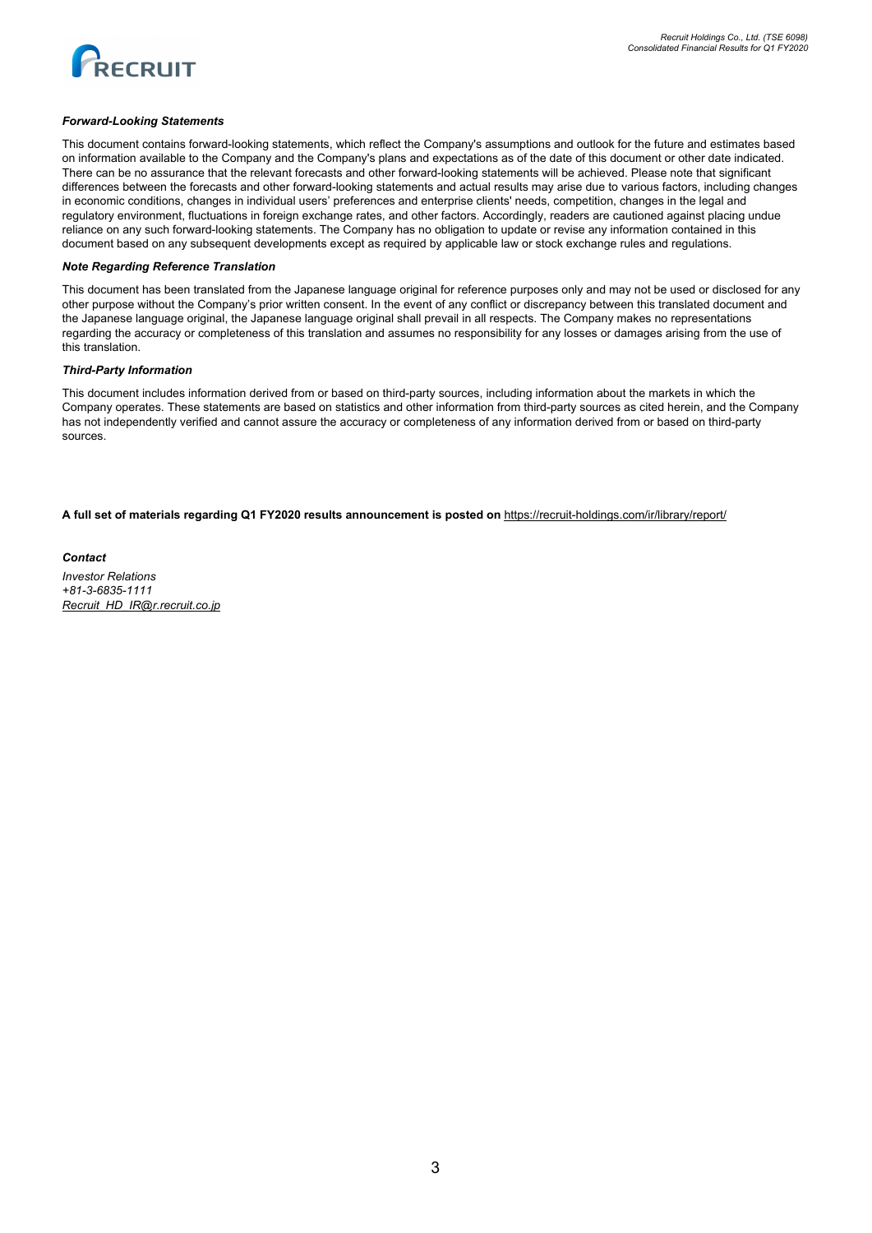

### *Forward-Looking Statements*

This document contains forward-looking statements, which reflect the Company's assumptions and outlook for the future and estimates based on information available to the Company and the Company's plans and expectations as of the date of this document or other date indicated. There can be no assurance that the relevant forecasts and other forward-looking statements will be achieved. Please note that significant differences between the forecasts and other forward-looking statements and actual results may arise due to various factors, including changes in economic conditions, changes in individual users' preferences and enterprise clients' needs, competition, changes in the legal and regulatory environment, fluctuations in foreign exchange rates, and other factors. Accordingly, readers are cautioned against placing undue reliance on any such forward-looking statements. The Company has no obligation to update or revise any information contained in this document based on any subsequent developments except as required by applicable law or stock exchange rules and regulations.

### *Note Regarding Reference Translation*

This document has been translated from the Japanese language original for reference purposes only and may not be used or disclosed for any other purpose without the Company's prior written consent. In the event of any conflict or discrepancy between this translated document and the Japanese language original, the Japanese language original shall prevail in all respects. The Company makes no representations regarding the accuracy or completeness of this translation and assumes no responsibility for any losses or damages arising from the use of this translation.

### *Third-Party Information*

This document includes information derived from or based on third-party sources, including information about the markets in which the Company operates. These statements are based on statistics and other information from third-party sources as cited herein, and the Company has not independently verified and cannot assure the accuracy or completeness of any information derived from or based on third-party sources.

**A full set of materials regarding Q1 FY2020 results announcement is posted on** <https://recruit-holdings.com/ir/library/report/>

*Contact Investor Relations +81-3-6835-1111 [Recruit\\_HD\\_IR@r.recruit.co.jp](mailto:Recruit_HD_IR@r.recruit.co.jp)*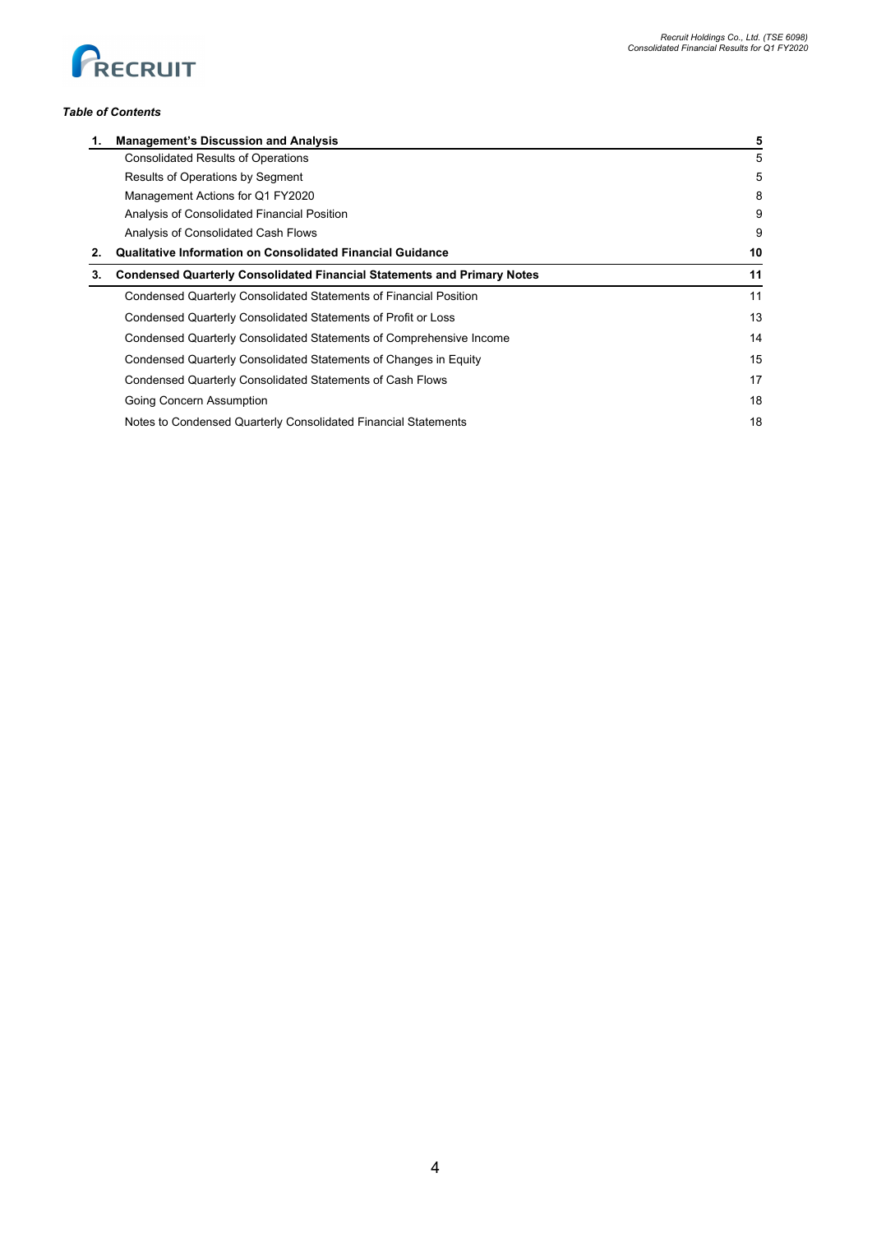

## *Table of Contents*

|    | <b>Management's Discussion and Analysis</b>                                    | 5  |
|----|--------------------------------------------------------------------------------|----|
|    | <b>Consolidated Results of Operations</b>                                      | 5  |
|    | Results of Operations by Segment                                               | 5  |
|    | Management Actions for Q1 FY2020                                               | 8  |
|    | Analysis of Consolidated Financial Position                                    | 9  |
|    | Analysis of Consolidated Cash Flows                                            | 9  |
|    | Qualitative Information on Consolidated Financial Guidance                     | 10 |
| З. | <b>Condensed Quarterly Consolidated Financial Statements and Primary Notes</b> | 11 |
|    | Condensed Quarterly Consolidated Statements of Financial Position              | 11 |
|    | Condensed Quarterly Consolidated Statements of Profit or Loss                  | 13 |
|    | Condensed Quarterly Consolidated Statements of Comprehensive Income            | 14 |
|    | Condensed Quarterly Consolidated Statements of Changes in Equity               | 15 |
|    | Condensed Quarterly Consolidated Statements of Cash Flows                      | 17 |
|    | Going Concern Assumption                                                       | 18 |
|    | Notes to Condensed Quarterly Consolidated Financial Statements                 | 18 |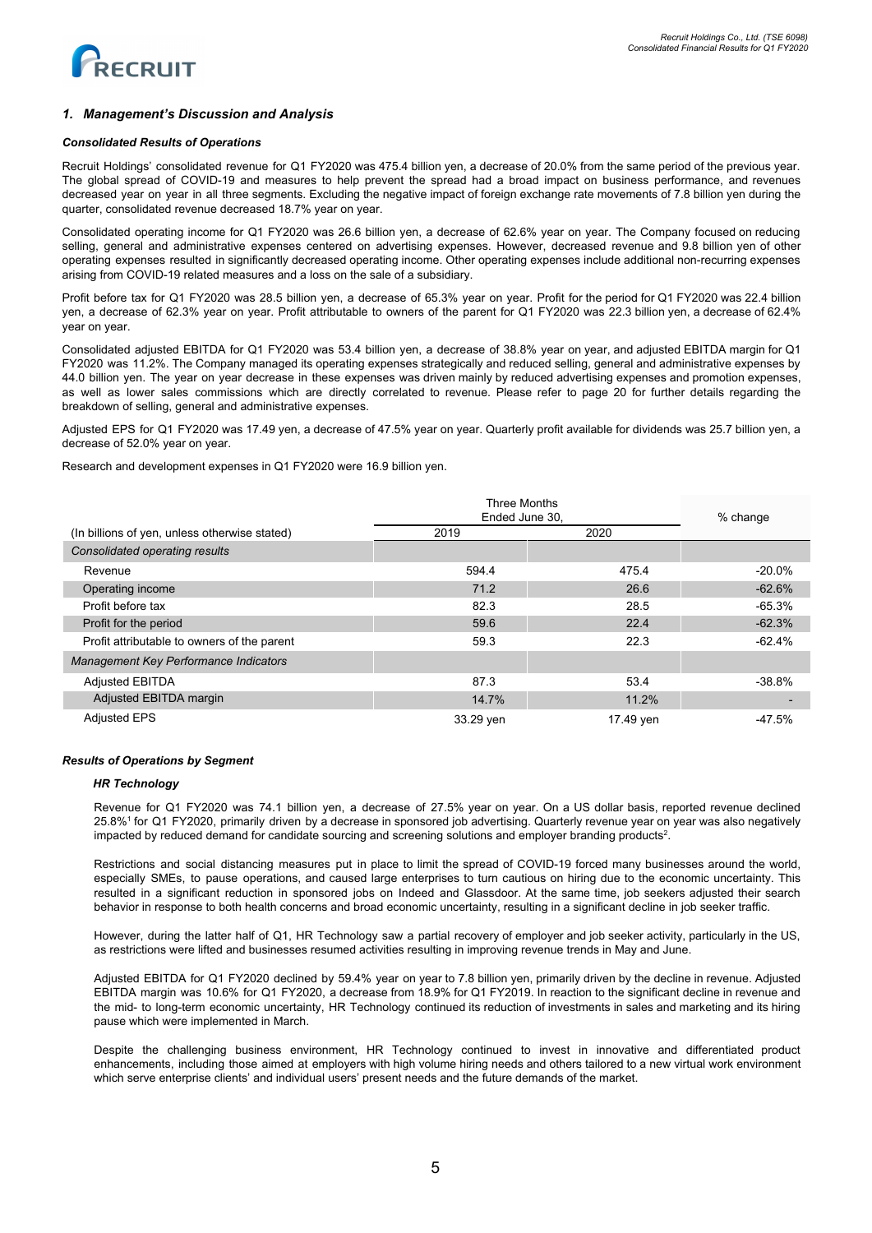

## *1. Management's Discussion and Analysis*

### *Consolidated Results of Operations*

Recruit Holdings' consolidated revenue for Q1 FY2020 was 475.4 billion yen, a decrease of 20.0% from the same period of the previous year. The global spread of COVID-19 and measures to help prevent the spread had a broad impact on business performance, and revenues decreased year on year in all three segments. Excluding the negative impact of foreign exchange rate movements of 7.8 billion yen during the quarter, consolidated revenue decreased 18.7% year on year.

Consolidated operating income for Q1 FY2020 was 26.6 billion yen, a decrease of 62.6% year on year. The Company focused on reducing selling, general and administrative expenses centered on advertising expenses. However, decreased revenue and 9.8 billion yen of other operating expenses resulted in significantly decreased operating income. Other operating expenses include additional non-recurring expenses arising from COVID-19 related measures and a loss on the sale of a subsidiary.

Profit before tax for Q1 FY2020 was 28.5 billion yen, a decrease of 65.3% year on year. Profit for the period for Q1 FY2020 was 22.4 billion yen, a decrease of 62.3% year on year. Profit attributable to owners of the parent for Q1 FY2020 was 22.3 billion yen, a decrease of 62.4% year on year.

Consolidated adjusted EBITDA for Q1 FY2020 was 53.4 billion yen, a decrease of 38.8% year on year, and adjusted EBITDA margin for Q1 FY2020 was 11.2%. The Company managed its operating expenses strategically and reduced selling, general and administrative expenses by 44.0 billion yen. The year on year decrease in these expenses was driven mainly by reduced advertising expenses and promotion expenses, as well as lower sales commissions which are directly correlated to revenue. Please refer to page 20 for further details regarding the breakdown of selling, general and administrative expenses.

Adjusted EPS for Q1 FY2020 was 17.49 yen, a decrease of 47.5% year on year. Quarterly profit available for dividends was 25.7 billion yen, a decrease of 52.0% year on year.

Research and development expenses in Q1 FY2020 were 16.9 billion yen.

|                                               | <b>Three Months</b><br>Ended June 30, |           | % change  |
|-----------------------------------------------|---------------------------------------|-----------|-----------|
| (In billions of yen, unless otherwise stated) | 2019                                  | 2020      |           |
| Consolidated operating results                |                                       |           |           |
| Revenue                                       | 594.4                                 | 475.4     | $-20.0\%$ |
| Operating income                              | 71.2                                  | 26.6      | $-62.6%$  |
| Profit before tax                             | 82.3                                  | 28.5      | -65.3%    |
| Profit for the period                         | 59.6                                  | 22.4      | $-62.3%$  |
| Profit attributable to owners of the parent   | 59.3                                  | 22.3      | $-62.4\%$ |
| Management Key Performance Indicators         |                                       |           |           |
| <b>Adjusted EBITDA</b>                        | 87.3                                  | 53.4      | $-38.8\%$ |
| Adjusted EBITDA margin                        | 14.7%                                 | 11.2%     |           |
| <b>Adjusted EPS</b>                           | 33.29 yen                             | 17.49 yen | $-47.5%$  |

### *Results of Operations by Segment*

## *HR Technology*

Revenue for Q1 FY2020 was 74.1 billion yen, a decrease of 27.5% year on year. On a US dollar basis, reported revenue declined 25.8%<sup>1</sup> for Q1 FY2020, primarily driven by a decrease in sponsored job advertising. Quarterly revenue year on year was also negatively impacted by reduced demand for candidate sourcing and screening solutions and employer branding products<sup>2</sup>.

Restrictions and social distancing measures put in place to limit the spread of COVID-19 forced many businesses around the world, especially SMEs, to pause operations, and caused large enterprises to turn cautious on hiring due to the economic uncertainty. This resulted in a significant reduction in sponsored jobs on Indeed and Glassdoor. At the same time, job seekers adjusted their search behavior in response to both health concerns and broad economic uncertainty, resulting in a significant decline in job seeker traffic.

However, during the latter half of Q1, HR Technology saw a partial recovery of employer and job seeker activity, particularly in the US, as restrictions were lifted and businesses resumed activities resulting in improving revenue trends in May and June.

Adjusted EBITDA for Q1 FY2020 declined by 59.4% year on year to 7.8 billion yen, primarily driven by the decline in revenue. Adjusted EBITDA margin was 10.6% for Q1 FY2020, a decrease from 18.9% for Q1 FY2019. In reaction to the significant decline in revenue and the mid- to long-term economic uncertainty, HR Technology continued its reduction of investments in sales and marketing and its hiring pause which were implemented in March.

Despite the challenging business environment, HR Technology continued to invest in innovative and differentiated product enhancements, including those aimed at employers with high volume hiring needs and others tailored to a new virtual work environment which serve enterprise clients' and individual users' present needs and the future demands of the market.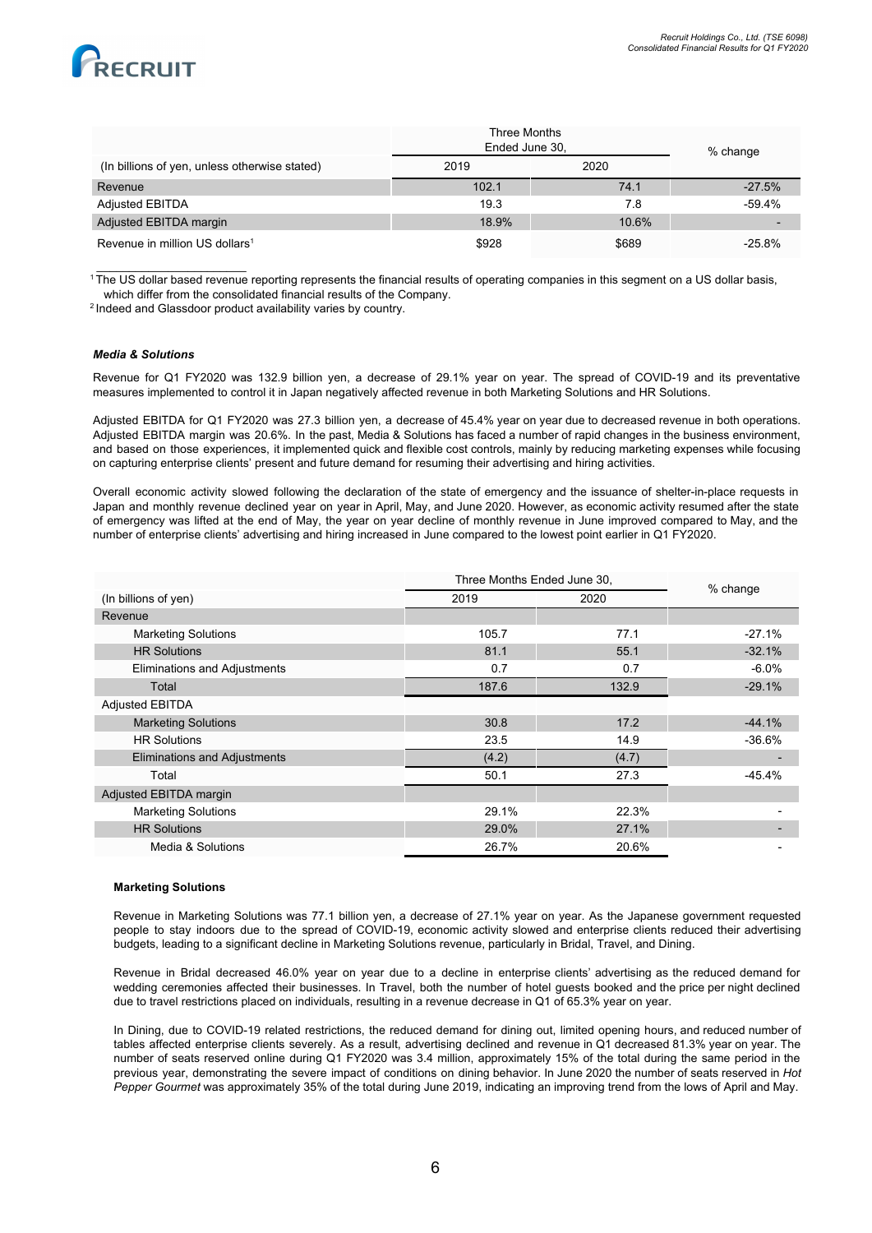

|                                               | Three Months<br>Ended June 30, |       | % change  |
|-----------------------------------------------|--------------------------------|-------|-----------|
| (In billions of yen, unless otherwise stated) | 2019                           | 2020  |           |
| Revenue                                       | 102.1                          | 74.1  | $-27.5%$  |
| <b>Adjusted EBITDA</b>                        | 19.3                           | 7.8   | $-59.4%$  |
| Adjusted EBITDA margin                        | 18.9%                          | 10.6% |           |
| Revenue in million US dollars <sup>1</sup>    | \$928                          | \$689 | $-25.8\%$ |

<sup>1</sup> The US dollar based revenue reporting represents the financial results of operating companies in this segment on a US dollar basis, which differ from the consolidated financial results of the Company.

<sup>2</sup> Indeed and Glassdoor product availability varies by country.

### *Media & Solutions*

\_\_\_\_\_\_\_\_\_\_\_\_\_\_\_\_\_\_\_\_\_\_\_

Revenue for Q1 FY2020 was 132.9 billion yen, a decrease of 29.1% year on year. The spread of COVID-19 and its preventative measures implemented to control it in Japan negatively affected revenue in both Marketing Solutions and HR Solutions.

Adjusted EBITDA for Q1 FY2020 was 27.3 billion yen, a decrease of 45.4% year on year due to decreased revenue in both operations. Adjusted EBITDA margin was 20.6%. In the past, Media & Solutions has faced a number of rapid changes in the business environment, and based on those experiences, it implemented quick and flexible cost controls, mainly by reducing marketing expenses while focusing on capturing enterprise clients' present and future demand for resuming their advertising and hiring activities.

Overall economic activity slowed following the declaration of the state of emergency and the issuance of shelter-in-place requests in Japan and monthly revenue declined year on year in April, May, and June 2020. However, as economic activity resumed after the state of emergency was lifted at the end of May, the year on year decline of monthly revenue in June improved compared to May, and the number of enterprise clients' advertising and hiring increased in June compared to the lowest point earlier in Q1 FY2020.

|                                     | Three Months Ended June 30, |       | % change |
|-------------------------------------|-----------------------------|-------|----------|
| (In billions of yen)                | 2019                        | 2020  |          |
| Revenue                             |                             |       |          |
| <b>Marketing Solutions</b>          | 105.7                       | 77.1  | $-27.1%$ |
| <b>HR Solutions</b>                 | 81.1                        | 55.1  | $-32.1%$ |
| Eliminations and Adjustments        | 0.7                         | 0.7   | $-6.0\%$ |
| Total                               | 187.6                       | 132.9 | $-29.1%$ |
| <b>Adjusted EBITDA</b>              |                             |       |          |
| <b>Marketing Solutions</b>          | 30.8                        | 17.2  | $-44.1%$ |
| <b>HR Solutions</b>                 | 23.5                        | 14.9  | $-36.6%$ |
| <b>Eliminations and Adjustments</b> | (4.2)                       | (4.7) |          |
| Total                               | 50.1                        | 27.3  | $-45.4%$ |
| Adjusted EBITDA margin              |                             |       |          |
| <b>Marketing Solutions</b>          | 29.1%                       | 22.3% |          |
| <b>HR Solutions</b>                 | 29.0%                       | 27.1% |          |
| Media & Solutions                   | 26.7%                       | 20.6% |          |

## **Marketing Solutions**

Revenue in Marketing Solutions was 77.1 billion yen, a decrease of 27.1% year on year. As the Japanese government requested people to stay indoors due to the spread of COVID-19, economic activity slowed and enterprise clients reduced their advertising budgets, leading to a significant decline in Marketing Solutions revenue, particularly in Bridal, Travel, and Dining.

Revenue in Bridal decreased 46.0% year on year due to a decline in enterprise clients' advertising as the reduced demand for wedding ceremonies affected their businesses. In Travel, both the number of hotel guests booked and the price per night declined due to travel restrictions placed on individuals, resulting in a revenue decrease in Q1 of 65.3% year on year.

In Dining, due to COVID-19 related restrictions, the reduced demand for dining out, limited opening hours, and reduced number of tables affected enterprise clients severely. As a result, advertising declined and revenue in Q1 decreased 81.3% year on year. The number of seats reserved online during Q1 FY2020 was 3.4 million, approximately 15% of the total during the same period in the previous year, demonstrating the severe impact of conditions on dining behavior. In June 2020 the number of seats reserved in *Hot Pepper Gourmet* was approximately 35% of the total during June 2019, indicating an improving trend from the lows of April and May.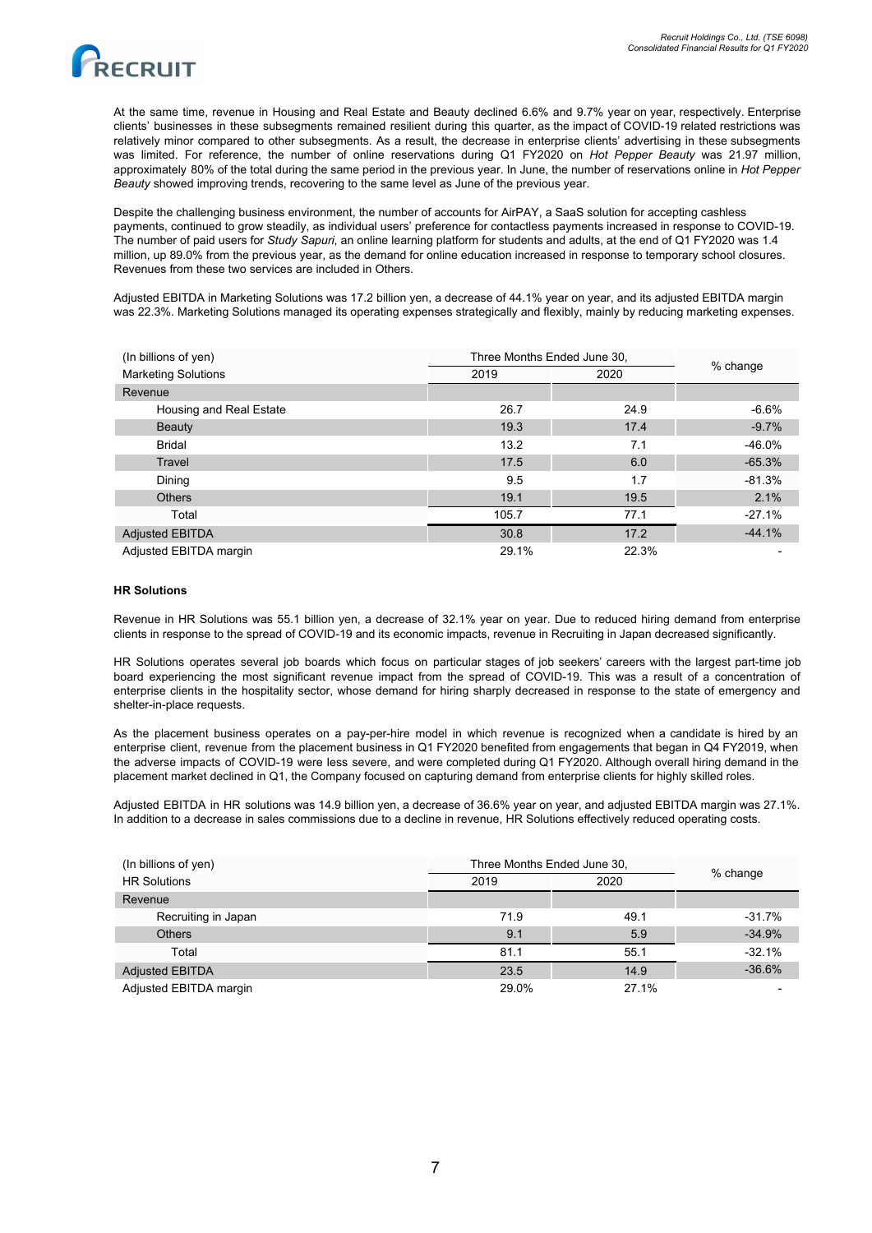

At the same time, revenue in Housing and Real Estate and Beauty declined 6.6% and 9.7% year on year, respectively. Enterprise clients' businesses in these subsegments remained resilient during this quarter, as the impact of COVID-19 related restrictions was relatively minor compared to other subsegments. As a result, the decrease in enterprise clients' advertising in these subsegments was limited. For reference, the number of online reservations during Q1 FY2020 on *Hot Pepper Beauty* was 21.97 million, approximately 80% of the total during the same period in the previous year. In June, the number of reservations online in *Hot Pepper Beauty* showed improving trends, recovering to the same level as June of the previous year.

Despite the challenging business environment, the number of accounts for AirPAY, a SaaS solution for accepting cashless payments, continued to grow steadily, as individual users' preference for contactless payments increased in response to COVID-19. The number of paid users for *Study Sapuri*, an online learning platform for students and adults, at the end of Q1 FY2020 was 1.4 million, up 89.0% from the previous year, as the demand for online education increased in response to temporary school closures. Revenues from these two services are included in Others.

Adjusted EBITDA in Marketing Solutions was 17.2 billion yen, a decrease of 44.1% year on year, and its adjusted EBITDA margin was 22.3%. Marketing Solutions managed its operating expenses strategically and flexibly, mainly by reducing marketing expenses.

| (In billions of yen)       |       | Three Months Ended June 30, |          |
|----------------------------|-------|-----------------------------|----------|
| <b>Marketing Solutions</b> | 2019  | 2020                        | % change |
| Revenue                    |       |                             |          |
| Housing and Real Estate    | 26.7  | 24.9                        | $-6.6%$  |
| <b>Beauty</b>              | 19.3  | 17.4                        | $-9.7%$  |
| <b>Bridal</b>              | 13.2  | 7.1                         | $-46.0%$ |
| Travel                     | 17.5  | 6.0                         | $-65.3%$ |
| Dining                     | 9.5   | 1.7                         | $-81.3%$ |
| <b>Others</b>              | 19.1  | 19.5                        | 2.1%     |
| Total                      | 105.7 | 77.1                        | $-27.1%$ |
| <b>Adjusted EBITDA</b>     | 30.8  | 17.2                        | $-44.1%$ |
| Adjusted EBITDA margin     | 29.1% | 22.3%                       |          |

## **HR Solutions**

Revenue in HR Solutions was 55.1 billion yen, a decrease of 32.1% year on year. Due to reduced hiring demand from enterprise clients in response to the spread of COVID-19 and its economic impacts, revenue in Recruiting in Japan decreased significantly.

HR Solutions operates several job boards which focus on particular stages of job seekers' careers with the largest part-time job board experiencing the most significant revenue impact from the spread of COVID-19. This was a result of a concentration of enterprise clients in the hospitality sector, whose demand for hiring sharply decreased in response to the state of emergency and shelter-in-place requests.

As the placement business operates on a pay-per-hire model in which revenue is recognized when a candidate is hired by an enterprise client, revenue from the placement business in Q1 FY2020 benefited from engagements that began in Q4 FY2019, when the adverse impacts of COVID-19 were less severe, and were completed during Q1 FY2020. Although overall hiring demand in the placement market declined in Q1, the Company focused on capturing demand from enterprise clients for highly skilled roles.

Adjusted EBITDA in HR solutions was 14.9 billion yen, a decrease of 36.6% year on year, and adjusted EBITDA margin was 27.1%. In addition to a decrease in sales commissions due to a decline in revenue, HR Solutions effectively reduced operating costs.

| (In billions of yen)   |       | Three Months Ended June 30, |          |
|------------------------|-------|-----------------------------|----------|
| <b>HR Solutions</b>    | 2019  | 2020                        | % change |
| Revenue                |       |                             |          |
| Recruiting in Japan    | 71.9  | 49.1                        | $-31.7%$ |
| <b>Others</b>          | 9.1   | 5.9                         | $-34.9%$ |
| Total                  | 81.1  | 55.1                        | $-32.1%$ |
| <b>Adjusted EBITDA</b> | 23.5  | 14.9                        | $-36.6%$ |
| Adjusted EBITDA margin | 29.0% | 27.1%                       |          |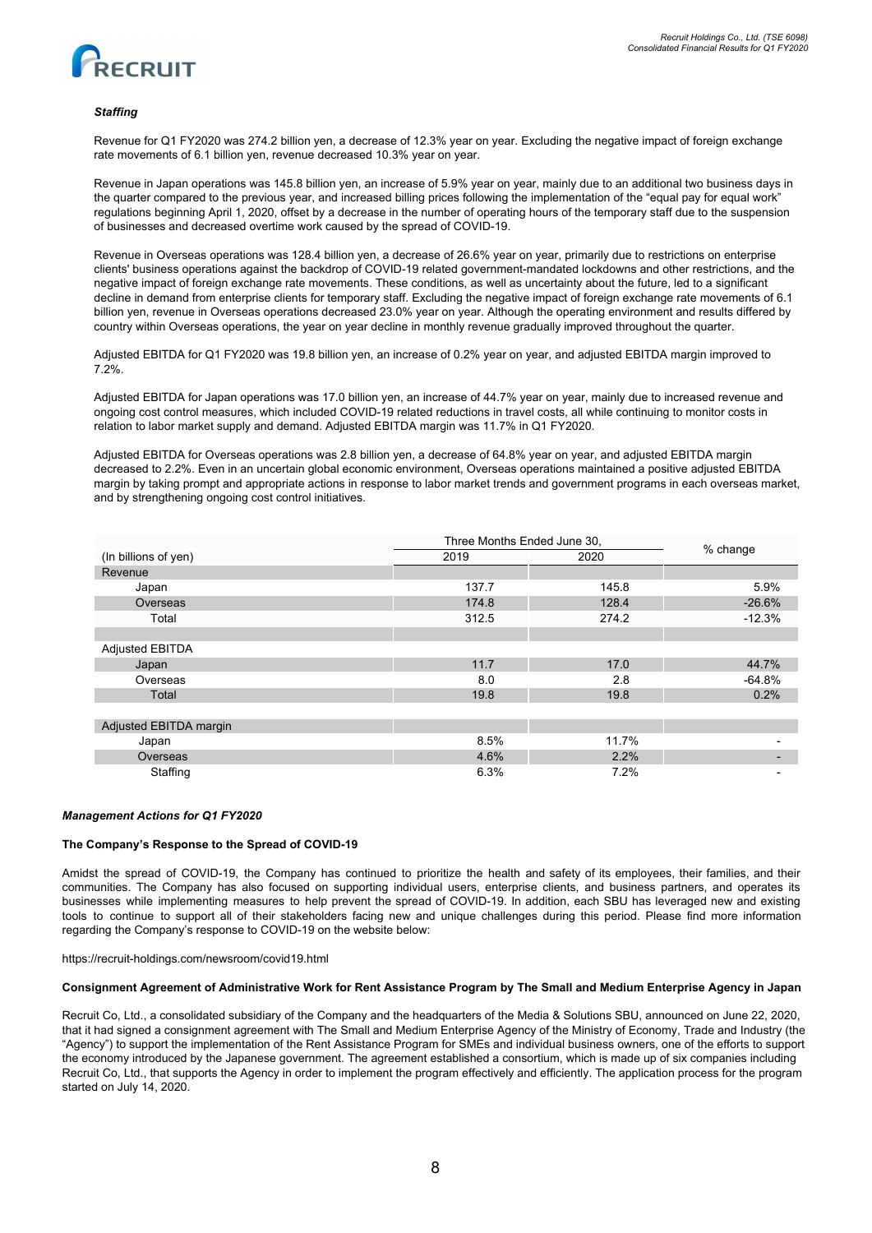

## *Staffing*

Revenue for Q1 FY2020 was 274.2 billion yen, a decrease of 12.3% year on year. Excluding the negative impact of foreign exchange rate movements of 6.1 billion yen, revenue decreased 10.3% year on year.

Revenue in Japan operations was 145.8 billion yen, an increase of 5.9% year on year, mainly due to an additional two business days in the quarter compared to the previous year, and increased billing prices following the implementation of the "equal pay for equal work" regulations beginning April 1, 2020, offset by a decrease in the number of operating hours of the temporary staff due to the suspension of businesses and decreased overtime work caused by the spread of COVID-19.

Revenue in Overseas operations was 128.4 billion yen, a decrease of 26.6% year on year, primarily due to restrictions on enterprise clients' business operations against the backdrop of COVID-19 related government-mandated lockdowns and other restrictions, and the negative impact of foreign exchange rate movements. These conditions, as well as uncertainty about the future, led to a significant decline in demand from enterprise clients for temporary staff. Excluding the negative impact of foreign exchange rate movements of 6.1 billion yen, revenue in Overseas operations decreased 23.0% year on year. Although the operating environment and results differed by country within Overseas operations, the year on year decline in monthly revenue gradually improved throughout the quarter.

Adjusted EBITDA for Q1 FY2020 was 19.8 billion yen, an increase of 0.2% year on year, and adjusted EBITDA margin improved to 7.2%.

Adjusted EBITDA for Japan operations was 17.0 billion yen, an increase of 44.7% year on year, mainly due to increased revenue and ongoing cost control measures, which included COVID-19 related reductions in travel costs, all while continuing to monitor costs in relation to labor market supply and demand. Adjusted EBITDA margin was 11.7% in Q1 FY2020.

Adjusted EBITDA for Overseas operations was 2.8 billion yen, a decrease of 64.8% year on year, and adjusted EBITDA margin decreased to 2.2%. Even in an uncertain global economic environment, Overseas operations maintained a positive adjusted EBITDA margin by taking prompt and appropriate actions in response to labor market trends and government programs in each overseas market, and by strengthening ongoing cost control initiatives.

|                        |       | Three Months Ended June 30, |          |  |
|------------------------|-------|-----------------------------|----------|--|
| (In billions of yen)   | 2019  | 2020                        | % change |  |
| Revenue                |       |                             |          |  |
| Japan                  | 137.7 | 145.8                       | 5.9%     |  |
| Overseas               | 174.8 | 128.4                       | $-26.6%$ |  |
| Total                  | 312.5 | 274.2                       | $-12.3%$ |  |
|                        |       |                             |          |  |
| Adjusted EBITDA        |       |                             |          |  |
| Japan                  | 11.7  | 17.0                        | 44.7%    |  |
| Overseas               | 8.0   | 2.8                         | $-64.8%$ |  |
| Total                  | 19.8  | 19.8                        | 0.2%     |  |
|                        |       |                             |          |  |
| Adjusted EBITDA margin |       |                             |          |  |
| Japan                  | 8.5%  | 11.7%                       |          |  |
| Overseas               | 4.6%  | 2.2%                        |          |  |
| Staffing               | 6.3%  | 7.2%                        |          |  |

### *Management Actions for Q1 FY2020*

## **The Company's Response to the Spread of COVID-19**

Amidst the spread of COVID-19, the Company has continued to prioritize the health and safety of its employees, their families, and their communities. The Company has also focused on supporting individual users, enterprise clients, and business partners, and operates its businesses while implementing measures to help prevent the spread of COVID-19. In addition, each SBU has leveraged new and existing tools to continue to support all of their stakeholders facing new and unique challenges during this period. Please find more information regarding the Company's response to COVID-19 on the website below:

https://recruit-holdings.com/newsroom/covid19.html

## Consignment Agreement of Administrative Work for Rent Assistance Program by The Small and Medium Enterprise Agency in Japan

Recruit Co, Ltd., a consolidated subsidiary of the Company and the headquarters of the Media & Solutions SBU, announced on June 22, 2020, that it had signed a consignment agreement with The Small and Medium Enterprise Agency of the Ministry of Economy, Trade and Industry (the "Agency") to support the implementation of the Rent Assistance Program for SMEs and individual business owners, one of the efforts to support the economy introduced by the Japanese government. The agreement established a consortium, which is made up of six companies including Recruit Co, Ltd., that supports the Agency in order to implement the program effectively and efficiently. The application process for the program started on July 14, 2020.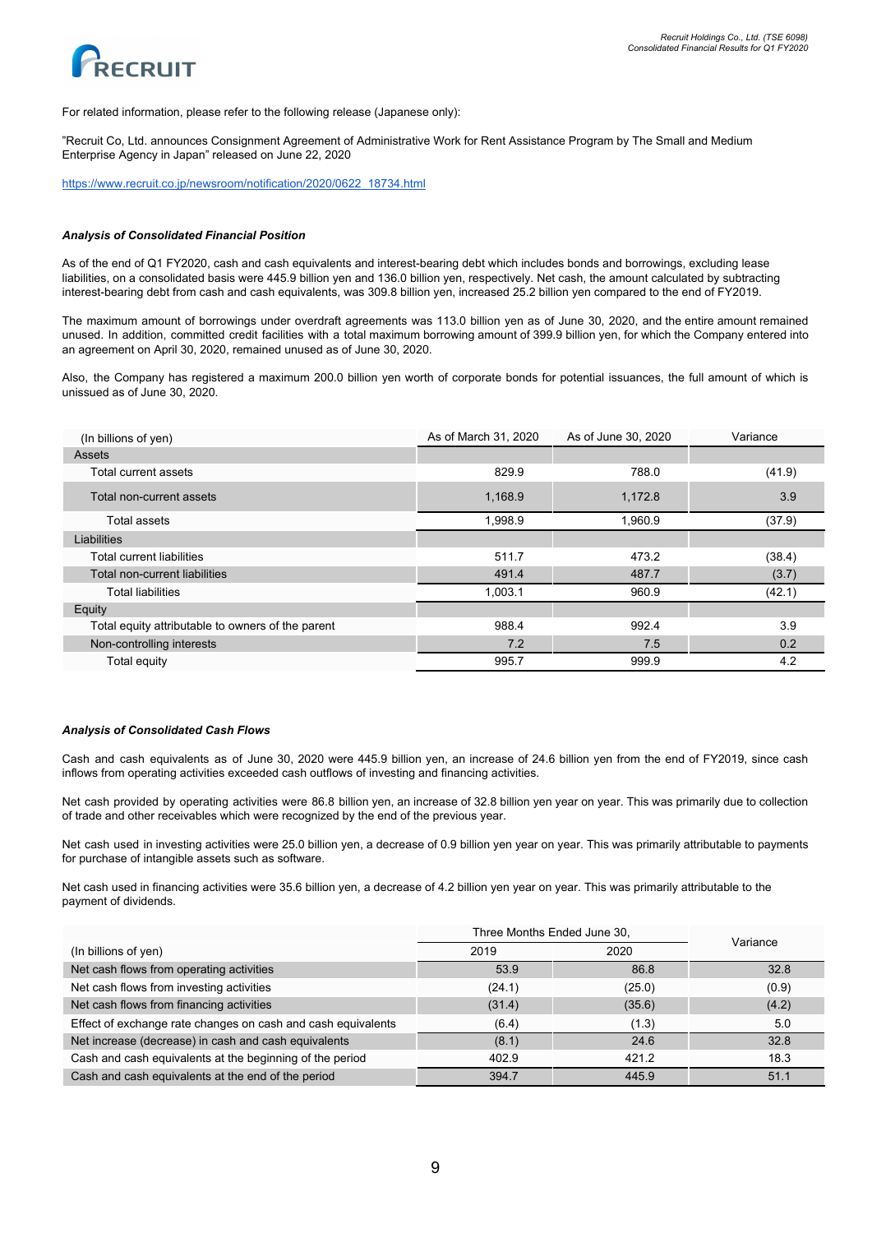



For related information, please refer to the following release (Japanese only):

"Recruit Co, Ltd. announces Consignment Agreement of Administrative Work for Rent Assistance Program by The Small and Medium Enterprise Agency in Japan" released on June 22, 2020

[https://www.recruit.co.jp/newsroom/notification/2020/0622\\_18734.html](https://www.recruit.co.jp/newsroom/notification/2020/0622_18734.html)

#### *Analysis of Consolidated Financial Position*

As of the end of Q1 FY2020, cash and cash equivalents and interest-bearing debt which includes bonds and borrowings, excluding lease liabilities, on a consolidated basis were 445.9 billion yen and 136.0 billion yen, respectively. Net cash, the amount calculated by subtracting interest-bearing debt from cash and cash equivalents, was 309.8 billion yen, increased 25.2 billion yen compared to the end of FY2019.

The maximum amount of borrowings under overdraft agreements was 113.0 billion yen as of June 30, 2020, and the entire amount remained unused. In addition, committed credit facilities with a total maximum borrowing amount of 399.9 billion yen, for which the Company entered into an agreement on April 30, 2020, remained unused as of June 30, 2020.

Also, the Company has registered a maximum 200.0 billion yen worth of corporate bonds for potential issuances, the full amount of which is unissued as of June 30, 2020.

| (In billions of yen)                              | As of March 31, 2020 | As of June 30, 2020 | Variance |
|---------------------------------------------------|----------------------|---------------------|----------|
| Assets                                            |                      |                     |          |
| Total current assets                              | 829.9                | 788.0               | (41.9)   |
| Total non-current assets                          | 1,168.9              | 1,172.8             | 3.9      |
| Total assets                                      | 1,998.9              | 1,960.9             | (37.9)   |
| Liabilities                                       |                      |                     |          |
| Total current liabilities                         | 511.7                | 473.2               | (38.4)   |
| Total non-current liabilities                     | 491.4                | 487.7               | (3.7)    |
| <b>Total liabilities</b>                          | 1,003.1              | 960.9               | (42.1)   |
| Equity                                            |                      |                     |          |
| Total equity attributable to owners of the parent | 988.4                | 992.4               | 3.9      |
| Non-controlling interests                         | 7.2                  | 7.5                 | 0.2      |
| Total equity                                      | 995.7                | 999.9               | 4.2      |

### *Analysis of Consolidated Cash Flows*

Cash and cash equivalents as of June 30, 2020 were 445.9 billion yen, an increase of 24.6 billion yen from the end of FY2019, since cash inflows from operating activities exceeded cash outflows of investing and financing activities.

Net cash provided by operating activities were 86.8 billion yen, an increase of 32.8 billion yen year on year. This was primarily due to collection of trade and other receivables which were recognized by the end of the previous year.

Net cash used in investing activities were 25.0 billion yen, a decrease of 0.9 billion yen year on year. This was primarily attributable to payments for purchase of intangible assets such as software.

Net cash used in financing activities were 35.6 billion yen, a decrease of 4.2 billion yen year on year. This was primarily attributable to the payment of dividends.

|                                                              | Three Months Ended June 30, | Variance |       |
|--------------------------------------------------------------|-----------------------------|----------|-------|
| (In billions of yen)                                         | 2019                        | 2020     |       |
| Net cash flows from operating activities                     | 53.9                        | 86.8     | 32.8  |
| Net cash flows from investing activities                     | (24.1)                      | (25.0)   | (0.9) |
| Net cash flows from financing activities                     | (31.4)                      | (35.6)   | (4.2) |
| Effect of exchange rate changes on cash and cash equivalents | (6.4)                       | (1.3)    | 5.0   |
| Net increase (decrease) in cash and cash equivalents         | (8.1)                       | 24.6     | 32.8  |
| Cash and cash equivalents at the beginning of the period     | 402.9                       | 421.2    | 18.3  |
| Cash and cash equivalents at the end of the period           | 394.7                       | 445.9    | 51.1  |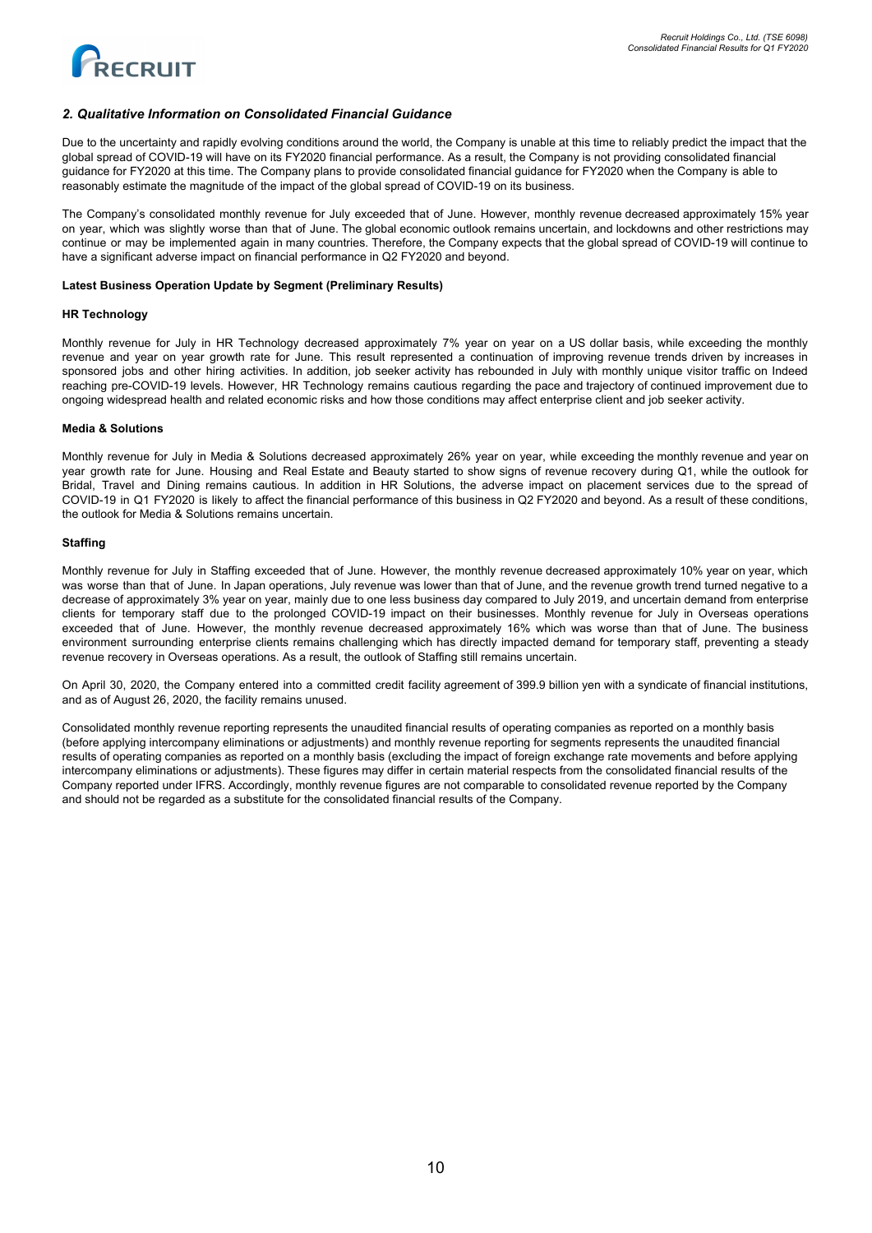

## *2. Qualitative Information on Consolidated Financial Guidance*

Due to the uncertainty and rapidly evolving conditions around the world, the Company is unable at this time to reliably predict the impact that the global spread of COVID-19 will have on its FY2020 financial performance. As a result, the Company is not providing consolidated financial guidance for FY2020 at this time. The Company plans to provide consolidated financial guidance for FY2020 when the Company is able to reasonably estimate the magnitude of the impact of the global spread of COVID-19 on its business.

The Company's consolidated monthly revenue for July exceeded that of June. However, monthly revenue decreased approximately 15% year on year, which was slightly worse than that of June. The global economic outlook remains uncertain, and lockdowns and other restrictions may continue or may be implemented again in many countries. Therefore, the Company expects that the global spread of COVID-19 will continue to have a significant adverse impact on financial performance in Q2 FY2020 and beyond.

## **Latest Business Operation Update by Segment (Preliminary Results)**

### **HR Technology**

Monthly revenue for July in HR Technology decreased approximately 7% year on year on a US dollar basis, while exceeding the monthly revenue and year on year growth rate for June. This result represented a continuation of improving revenue trends driven by increases in sponsored jobs and other hiring activities. In addition, job seeker activity has rebounded in July with monthly unique visitor traffic on Indeed reaching pre-COVID-19 levels. However, HR Technology remains cautious regarding the pace and trajectory of continued improvement due to ongoing widespread health and related economic risks and how those conditions may affect enterprise client and job seeker activity.

### **Media & Solutions**

Monthly revenue for July in Media & Solutions decreased approximately 26% year on year, while exceeding the monthly revenue and year on year growth rate for June. Housing and Real Estate and Beauty started to show signs of revenue recovery during Q1, while the outlook for Bridal, Travel and Dining remains cautious. In addition in HR Solutions, the adverse impact on placement services due to the spread of COVID-19 in Q1 FY2020 is likely to affect the financial performance of this business in Q2 FY2020 and beyond. As a result of these conditions, the outlook for Media & Solutions remains uncertain.

## **Staffing**

Monthly revenue for July in Staffing exceeded that of June. However, the monthly revenue decreased approximately 10% year on year, which was worse than that of June. In Japan operations, July revenue was lower than that of June, and the revenue growth trend turned negative to a decrease of approximately 3% year on year, mainly due to one less business day compared to July 2019, and uncertain demand from enterprise clients for temporary staff due to the prolonged COVID-19 impact on their businesses. Monthly revenue for July in Overseas operations exceeded that of June. However, the monthly revenue decreased approximately 16% which was worse than that of June. The business environment surrounding enterprise clients remains challenging which has directly impacted demand for temporary staff, preventing a steady revenue recovery in Overseas operations. As a result, the outlook of Staffing still remains uncertain.

On April 30, 2020, the Company entered into a committed credit facility agreement of 399.9 billion yen with a syndicate of financial institutions, and as of August 26, 2020, the facility remains unused.

Consolidated monthly revenue reporting represents the unaudited financial results of operating companies as reported on a monthly basis (before applying intercompany eliminations or adjustments) and monthly revenue reporting for segments represents the unaudited financial results of operating companies as reported on a monthly basis (excluding the impact of foreign exchange rate movements and before applying intercompany eliminations or adjustments). These figures may differ in certain material respects from the consolidated financial results of the Company reported under IFRS. Accordingly, monthly revenue figures are not comparable to consolidated revenue reported by the Company and should not be regarded as a substitute for the consolidated financial results of the Company.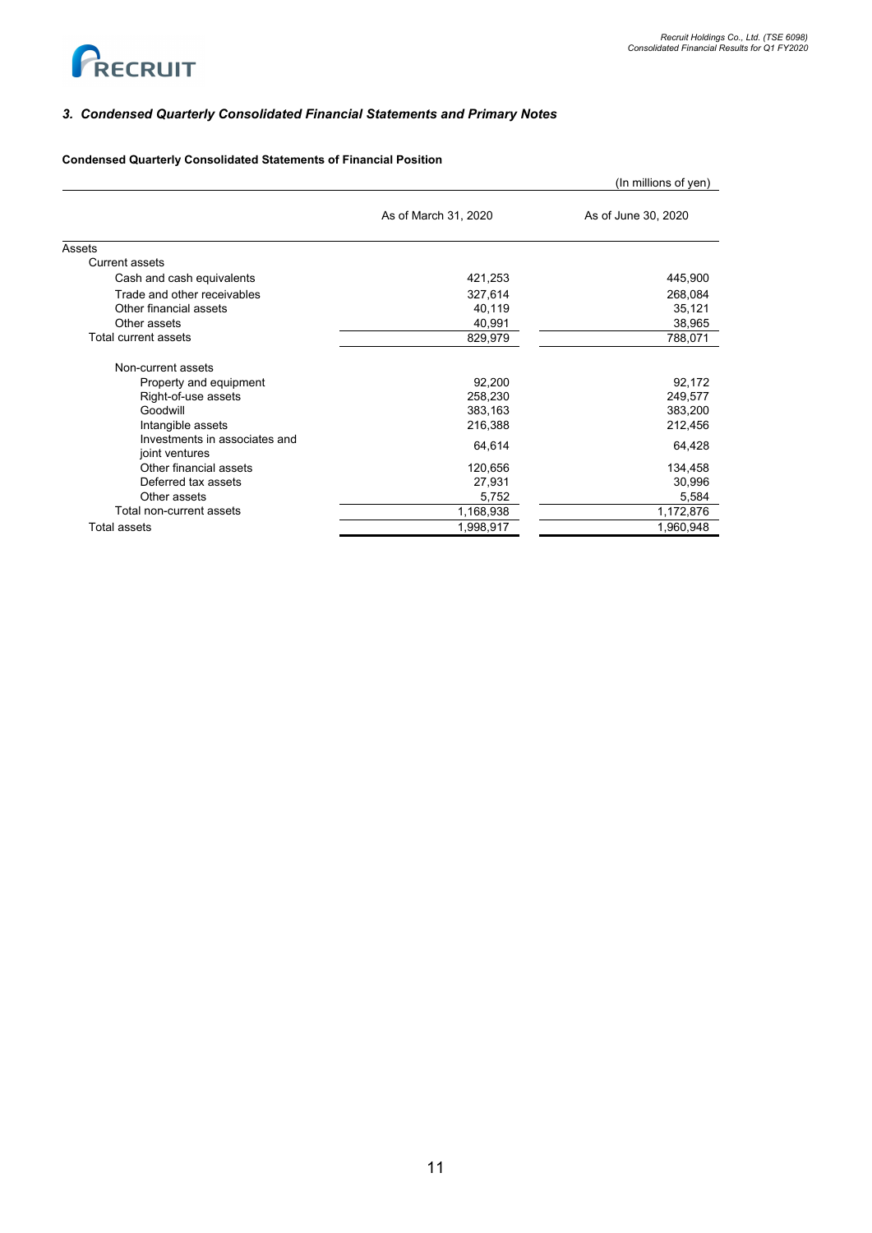

# *3. Condensed Quarterly Consolidated Financial Statements and Primary Notes*

# **Condensed Quarterly Consolidated Statements of Financial Position**

|                                                 |                      | (In millions of yen) |
|-------------------------------------------------|----------------------|----------------------|
|                                                 | As of March 31, 2020 | As of June 30, 2020  |
| Assets                                          |                      |                      |
| <b>Current assets</b>                           |                      |                      |
| Cash and cash equivalents                       | 421,253              | 445,900              |
| Trade and other receivables                     | 327,614              | 268,084              |
| Other financial assets                          | 40,119               | 35,121               |
| Other assets                                    | 40,991               | 38,965               |
| Total current assets                            | 829,979              | 788,071              |
| Non-current assets                              |                      |                      |
| Property and equipment                          | 92,200               | 92,172               |
| Right-of-use assets                             | 258,230              | 249,577              |
| Goodwill                                        | 383,163              | 383,200              |
| Intangible assets                               | 216,388              | 212,456              |
| Investments in associates and<br>joint ventures | 64,614               | 64,428               |
| Other financial assets                          | 120,656              | 134,458              |
| Deferred tax assets                             | 27,931               | 30,996               |
| Other assets                                    | 5,752                | 5,584                |
| Total non-current assets                        | 1,168,938            | 1,172,876            |
| <b>Total assets</b>                             | 1,998,917            | 1,960,948            |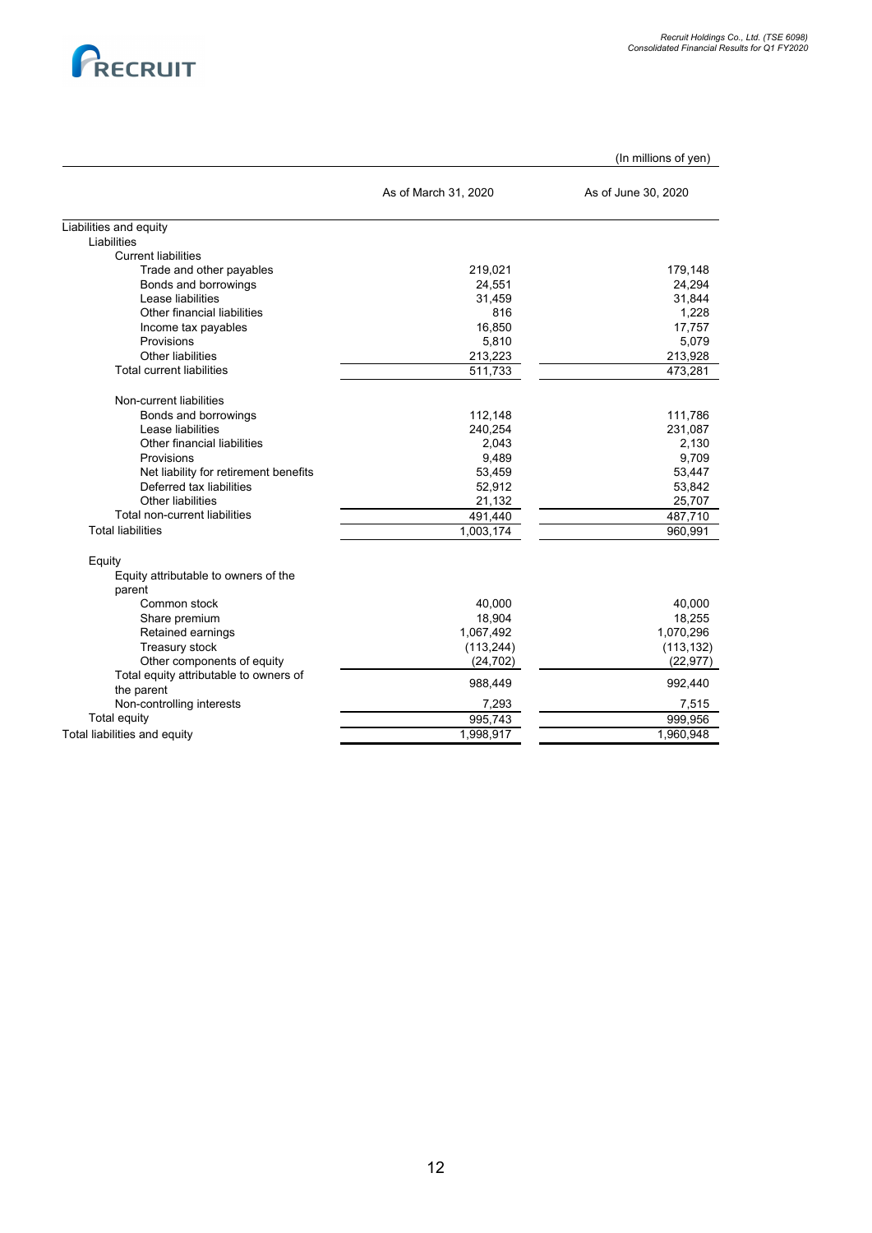

|                                                |                      | (In millions of yen) |
|------------------------------------------------|----------------------|----------------------|
|                                                | As of March 31, 2020 | As of June 30, 2020  |
| Liabilities and equity                         |                      |                      |
| Liabilities                                    |                      |                      |
| <b>Current liabilities</b>                     |                      |                      |
| Trade and other payables                       | 219,021              | 179,148              |
| Bonds and borrowings                           | 24,551               | 24,294               |
| Lease liabilities                              | 31,459               | 31,844               |
| Other financial liabilities                    | 816                  | 1,228                |
| Income tax payables                            | 16.850               | 17.757               |
| Provisions                                     | 5,810                | 5,079                |
| Other liabilities                              | 213,223              | 213,928              |
| <b>Total current liabilities</b>               | 511,733              | 473,281              |
| Non-current liabilities                        |                      |                      |
| Bonds and borrowings                           | 112,148              | 111,786              |
| Lease liabilities                              | 240,254              | 231,087              |
| Other financial liabilities                    | 2,043                | 2,130                |
| Provisions                                     | 9,489                | 9,709                |
| Net liability for retirement benefits          | 53,459               | 53,447               |
| Deferred tax liabilities                       | 52,912               | 53,842               |
| Other liabilities                              | 21,132               | 25,707               |
| Total non-current liabilities                  | 491,440              | 487,710              |
| <b>Total liabilities</b>                       | 1,003,174            | 960,991              |
|                                                |                      |                      |
| Equity<br>Equity attributable to owners of the |                      |                      |
| parent                                         |                      |                      |
| Common stock                                   | 40,000               | 40,000               |
| Share premium                                  | 18,904               | 18,255               |
| Retained earnings                              | 1,067,492            | 1,070,296            |
| Treasury stock                                 | (113, 244)           | (113, 132)           |
| Other components of equity                     | (24, 702)            | (22, 977)            |
| Total equity attributable to owners of         |                      |                      |
| the parent                                     | 988,449              | 992,440              |
| Non-controlling interests                      | 7,293                | 7,515                |
| <b>Total equity</b>                            | 995,743              | 999,956              |
| Total liabilities and equity                   | 1,998,917            | 1,960,948            |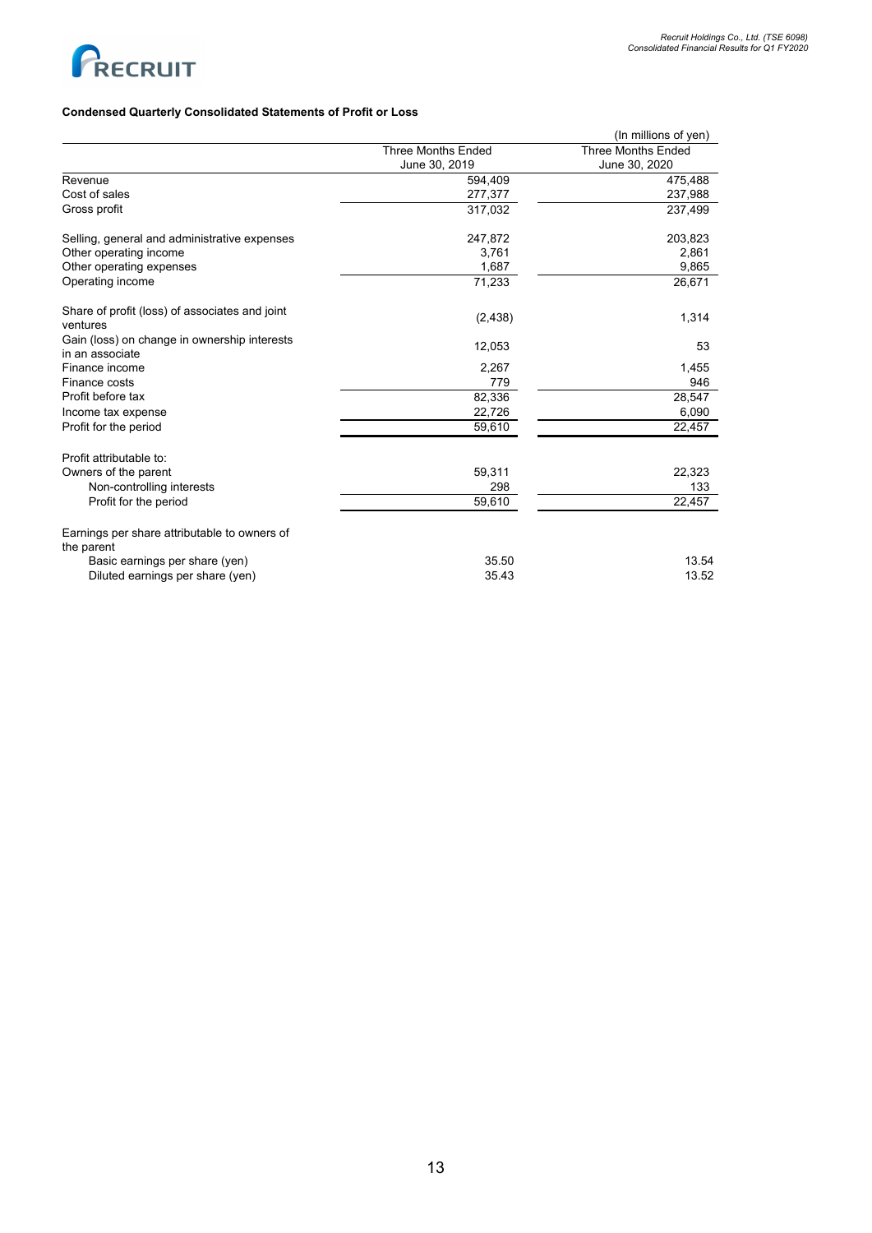

# **Condensed Quarterly Consolidated Statements of Profit or Loss**

|                                                                 |                           | (In millions of yen)      |
|-----------------------------------------------------------------|---------------------------|---------------------------|
|                                                                 | <b>Three Months Ended</b> | <b>Three Months Ended</b> |
|                                                                 | June 30, 2019             | June 30, 2020             |
| Revenue                                                         | 594,409                   | 475,488                   |
| Cost of sales                                                   | 277,377                   | 237,988                   |
| Gross profit                                                    | 317,032                   | 237,499                   |
| Selling, general and administrative expenses                    | 247,872                   | 203,823                   |
| Other operating income                                          | 3,761                     | 2,861                     |
| Other operating expenses                                        | 1,687                     | 9,865                     |
| Operating income                                                | 71,233                    | 26,671                    |
| Share of profit (loss) of associates and joint<br>ventures      | (2, 438)                  | 1,314                     |
| Gain (loss) on change in ownership interests<br>in an associate | 12,053                    | 53                        |
| Finance income                                                  | 2,267                     | 1,455                     |
| Finance costs                                                   | 779                       | 946                       |
| Profit before tax                                               | 82,336                    | 28,547                    |
| Income tax expense                                              | 22,726                    | 6,090                     |
| Profit for the period                                           | 59,610                    | 22,457                    |
| Profit attributable to:                                         |                           |                           |
| Owners of the parent                                            | 59,311                    | 22,323                    |
| Non-controlling interests                                       | 298                       | 133                       |
| Profit for the period                                           | 59,610                    | 22,457                    |
| Earnings per share attributable to owners of<br>the parent      |                           |                           |
| Basic earnings per share (yen)                                  | 35.50                     | 13.54                     |
| Diluted earnings per share (yen)                                | 35.43                     | 13.52                     |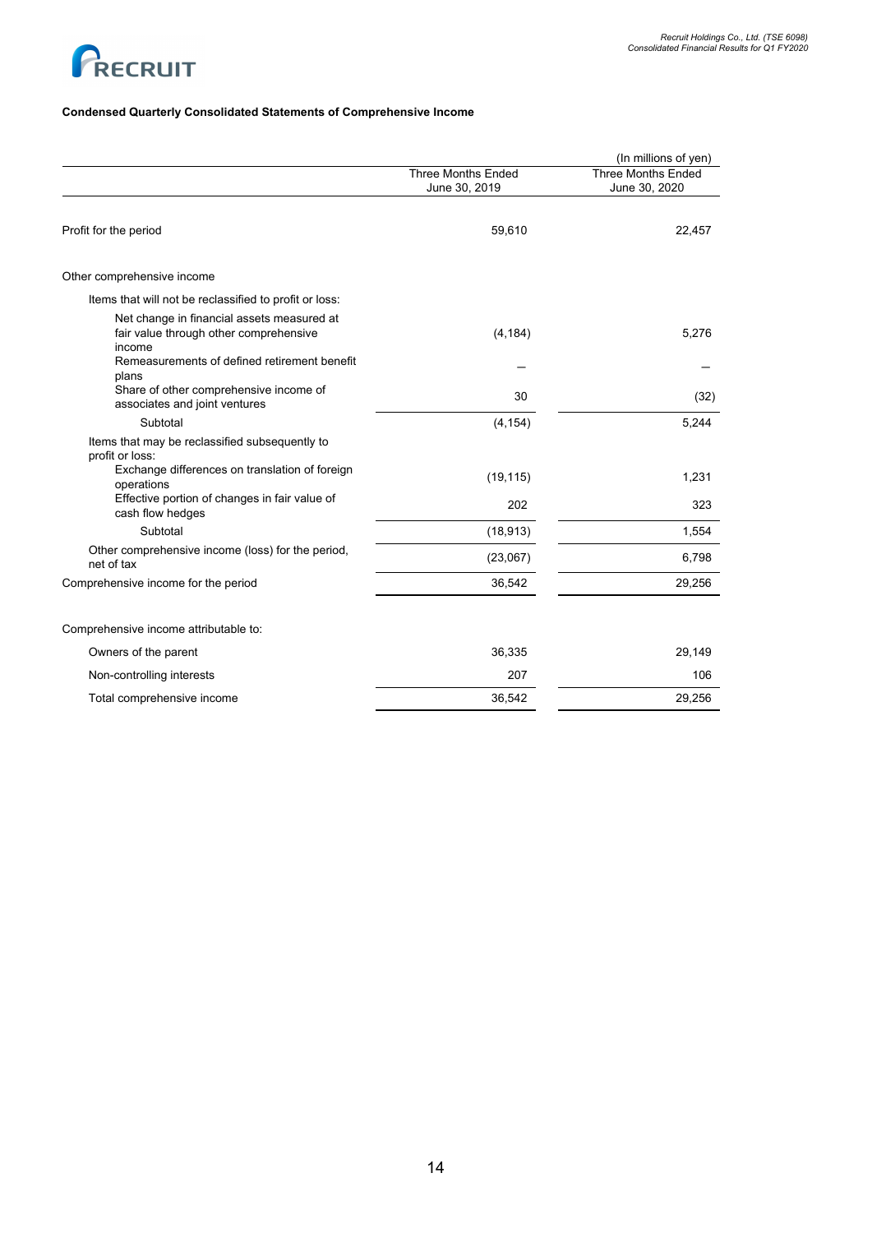

# **Condensed Quarterly Consolidated Statements of Comprehensive Income**

|                                                                                                |                                            | (In millions of yen)                       |
|------------------------------------------------------------------------------------------------|--------------------------------------------|--------------------------------------------|
|                                                                                                | <b>Three Months Ended</b><br>June 30, 2019 | <b>Three Months Ended</b><br>June 30, 2020 |
|                                                                                                |                                            |                                            |
| Profit for the period                                                                          | 59,610                                     | 22,457                                     |
| Other comprehensive income                                                                     |                                            |                                            |
| Items that will not be reclassified to profit or loss:                                         |                                            |                                            |
| Net change in financial assets measured at<br>fair value through other comprehensive<br>income | (4, 184)                                   | 5,276                                      |
| Remeasurements of defined retirement benefit<br>plans                                          |                                            |                                            |
| Share of other comprehensive income of<br>associates and joint ventures                        | 30                                         | (32)                                       |
| Subtotal                                                                                       | (4, 154)                                   | 5,244                                      |
| Items that may be reclassified subsequently to<br>profit or loss:                              |                                            |                                            |
| Exchange differences on translation of foreign<br>operations                                   | (19, 115)                                  | 1,231                                      |
| Effective portion of changes in fair value of<br>cash flow hedges                              | 202                                        | 323                                        |
| Subtotal                                                                                       | (18, 913)                                  | 1,554                                      |
| Other comprehensive income (loss) for the period,<br>net of tax                                | (23,067)                                   | 6,798                                      |
| Comprehensive income for the period                                                            | 36,542                                     | 29,256                                     |
| Comprehensive income attributable to:                                                          |                                            |                                            |
| Owners of the parent                                                                           | 36,335                                     | 29,149                                     |
| Non-controlling interests                                                                      | 207                                        | 106                                        |
| Total comprehensive income                                                                     | 36,542                                     | 29,256                                     |
|                                                                                                |                                            |                                            |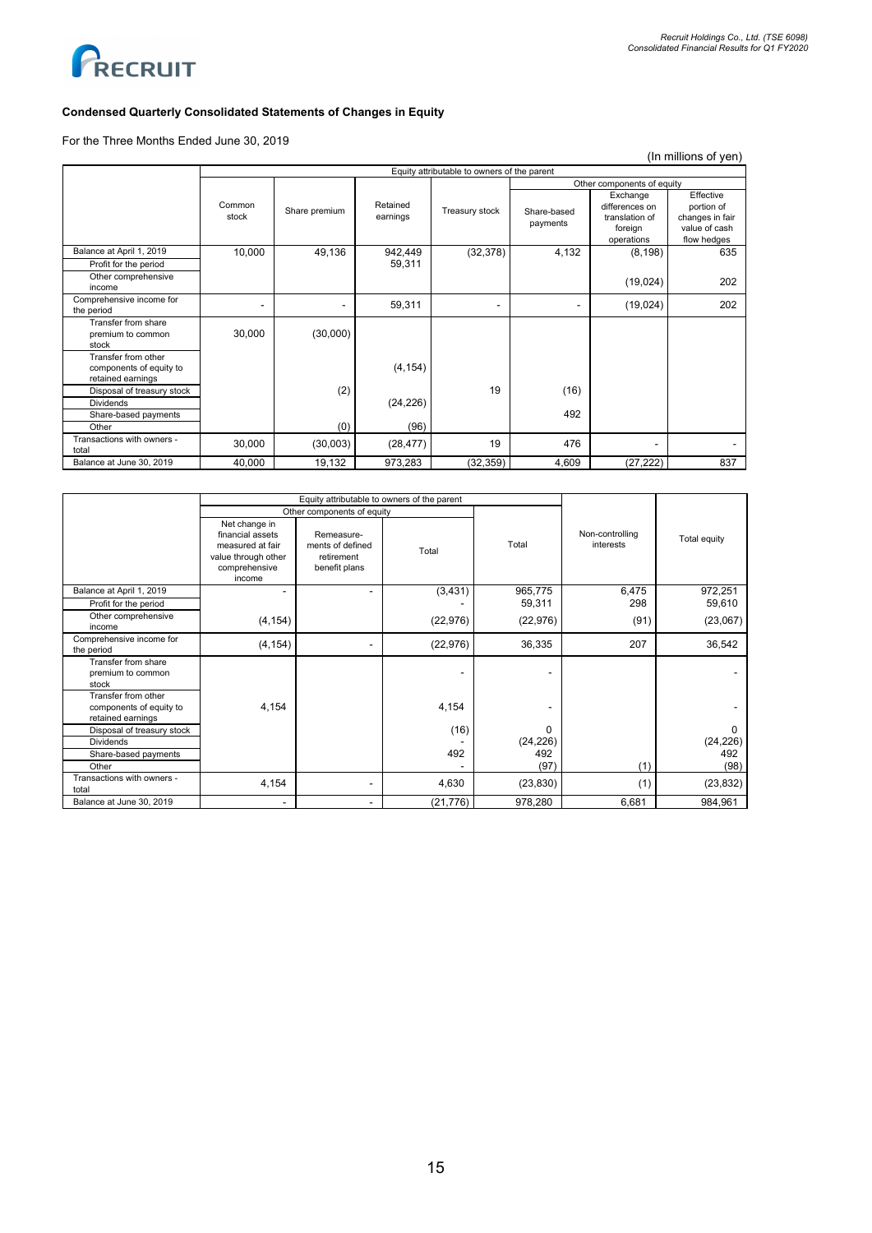(In millions of yen)



# **Condensed Quarterly Consolidated Statements of Changes in Equity**

For the Three Months Ended June 30, 2019

Equity attributable to owners of the parent Common<br>stock Share premium Retained<br>earnings Treasury stock Other components of equity Share-based payments Exchange differences on translation of foreign  $\frac{\text{operations}}{(8,198)}$ **Effective** portion of changes in fair value of cash flow hedges<br>635 Balance at April 1, 2019 10,000 49,136 942,449 (32,378) 4,132<br>Profit for the period 59,311 Profit for the period Other comprehensive ourse complemensive the complemensive the complement of the complement of the complement of the complement of the complement of the complement of the complement of the complement of the complement of the complement of the Comprehensive income for  $\text{[conjecture]}$  -  $\text{[conjecture]}$  -  $\text{[conjecture]}$  -  $\text{[conjecture]}$  -  $\text{[conjecture]}$  -  $\text{[19,024)}$  202 Transfer from share premium to common .<br>stock 30,000 (30,000) Transfer from other components of equity to retained earnings (4,154) Disposal of treasury stock (2) (2) 19 (16) (24,226)  $(24, 226)$ Share-based payments 492<br>Other (0) (96) 492 Other (0) (96) Transactions with owners total 30,000 (30,003) (28,477) <sup>19</sup> <sup>476</sup> - - Balance at June 30, 2019 **40,000 19,132 973,283** (32,359) 4,609 (27,222) 837

|                                                                     |                                                                                                         | Equity attributable to owners of the parent                   |           |                   |                              |                   |
|---------------------------------------------------------------------|---------------------------------------------------------------------------------------------------------|---------------------------------------------------------------|-----------|-------------------|------------------------------|-------------------|
|                                                                     |                                                                                                         | Other components of equity                                    |           |                   |                              |                   |
|                                                                     | Net change in<br>financial assets<br>measured at fair<br>value through other<br>comprehensive<br>income | Remeasure-<br>ments of defined<br>retirement<br>benefit plans | Total     | Total             | Non-controlling<br>interests | Total equity      |
| Balance at April 1, 2019                                            |                                                                                                         |                                                               | (3, 431)  | 965,775<br>59,311 | 6,475<br>298                 | 972,251<br>59,610 |
| Profit for the period<br>Other comprehensive                        |                                                                                                         |                                                               |           |                   |                              |                   |
| income                                                              | (4, 154)                                                                                                |                                                               | (22, 976) | (22, 976)         | (91)                         | (23,067)          |
| Comprehensive income for<br>the period                              | (4, 154)                                                                                                |                                                               | (22, 976) | 36,335            | 207                          | 36,542            |
| Transfer from share<br>premium to common<br>stock                   |                                                                                                         |                                                               |           |                   |                              |                   |
| Transfer from other<br>components of equity to<br>retained earnings | 4,154                                                                                                   |                                                               | 4,154     |                   |                              |                   |
| Disposal of treasury stock                                          |                                                                                                         |                                                               | (16)      | 0                 |                              | $\Omega$          |
| <b>Dividends</b>                                                    |                                                                                                         |                                                               |           | (24, 226)         |                              | (24, 226)         |
| Share-based payments                                                |                                                                                                         |                                                               | 492       | 492               |                              | 492               |
| Other                                                               |                                                                                                         |                                                               |           | (97)              | (1)                          | (98)              |
| Transactions with owners -<br>total                                 | 4,154                                                                                                   |                                                               | 4,630     | (23, 830)         | (1)                          | (23, 832)         |
| Balance at June 30, 2019                                            | ۰                                                                                                       |                                                               | (21, 776) | 978,280           | 6,681                        | 984,961           |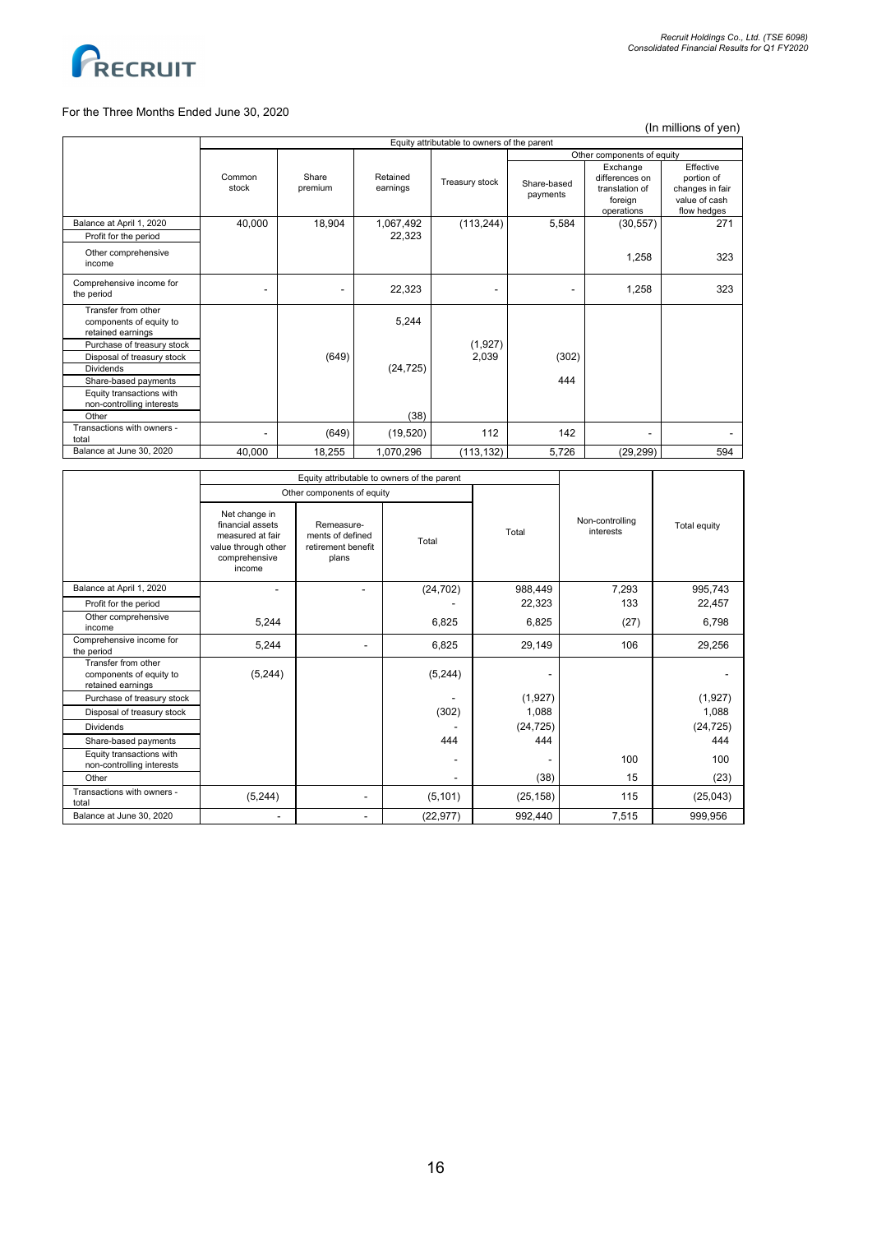

## For the Three Months Ended June 30, 2020

(In millions of yen)

|                                                                               | Equity attributable to owners of the parent |                  |                      |                |                         |                                                                       |                                                                            |  |
|-------------------------------------------------------------------------------|---------------------------------------------|------------------|----------------------|----------------|-------------------------|-----------------------------------------------------------------------|----------------------------------------------------------------------------|--|
|                                                                               |                                             |                  |                      |                |                         | Other components of equity                                            |                                                                            |  |
|                                                                               | Common<br>stock                             | Share<br>premium | Retained<br>earnings | Treasury stock | Share-based<br>payments | Exchange<br>differences on<br>translation of<br>foreign<br>operations | Effective<br>portion of<br>changes in fair<br>value of cash<br>flow hedges |  |
| Balance at April 1, 2020                                                      | 40,000                                      | 18,904           | 1,067,492            | (113, 244)     | 5,584                   | (30, 557)                                                             | 271                                                                        |  |
| Profit for the period                                                         |                                             |                  | 22,323               |                |                         |                                                                       |                                                                            |  |
| Other comprehensive<br>income                                                 |                                             |                  |                      |                |                         | 1,258                                                                 | 323                                                                        |  |
| Comprehensive income for<br>the period                                        |                                             |                  | 22,323               |                |                         | 1,258                                                                 | 323                                                                        |  |
| Transfer from other<br>components of equity to<br>retained earnings           |                                             |                  | 5,244                |                |                         |                                                                       |                                                                            |  |
| Purchase of treasury stock                                                    |                                             |                  |                      | (1,927)        |                         |                                                                       |                                                                            |  |
| Disposal of treasury stock                                                    |                                             | (649)            |                      | 2,039          | (302)                   |                                                                       |                                                                            |  |
| <b>Dividends</b>                                                              |                                             |                  | (24, 725)            |                |                         |                                                                       |                                                                            |  |
| Share-based payments<br>Equity transactions with<br>non-controlling interests |                                             |                  |                      |                | 444                     |                                                                       |                                                                            |  |
| Other                                                                         |                                             |                  | (38)                 |                |                         |                                                                       |                                                                            |  |
| Transactions with owners -<br>total                                           |                                             | (649)            | (19, 520)            | 112            | 142                     |                                                                       |                                                                            |  |
| Balance at June 30, 2020                                                      | 40,000                                      | 18,255           | 1,070,296            | (113, 132)     | 5,726                   | (29, 299)                                                             | 594                                                                        |  |
|                                                                               |                                             |                  |                      |                |                         |                                                                       |                                                                            |  |

|                                                                     | Equity attributable to owners of the parent                                                             |                                                               |           |           |                              |              |
|---------------------------------------------------------------------|---------------------------------------------------------------------------------------------------------|---------------------------------------------------------------|-----------|-----------|------------------------------|--------------|
|                                                                     |                                                                                                         | Other components of equity                                    |           |           |                              |              |
|                                                                     | Net change in<br>financial assets<br>measured at fair<br>value through other<br>comprehensive<br>income | Remeasure-<br>ments of defined<br>retirement benefit<br>plans | Total     | Total     | Non-controlling<br>interests | Total equity |
| Balance at April 1, 2020                                            | ۰                                                                                                       |                                                               | (24, 702) | 988,449   | 7,293                        | 995,743      |
| Profit for the period                                               |                                                                                                         |                                                               |           | 22,323    | 133                          | 22,457       |
| Other comprehensive<br>income                                       | 5,244                                                                                                   |                                                               | 6,825     | 6,825     | (27)                         | 6,798        |
| Comprehensive income for<br>the period                              | 5,244                                                                                                   |                                                               | 6,825     | 29,149    | 106                          | 29,256       |
| Transfer from other<br>components of equity to<br>retained earnings | (5, 244)                                                                                                |                                                               | (5, 244)  |           |                              |              |
| Purchase of treasury stock                                          |                                                                                                         |                                                               |           | (1,927)   |                              | (1, 927)     |
| Disposal of treasury stock                                          |                                                                                                         |                                                               | (302)     | 1,088     |                              | 1,088        |
| <b>Dividends</b>                                                    |                                                                                                         |                                                               |           | (24, 725) |                              | (24, 725)    |
| Share-based payments                                                |                                                                                                         |                                                               | 444       | 444       |                              | 444          |
| Equity transactions with<br>non-controlling interests               |                                                                                                         |                                                               |           |           | 100                          | 100          |
| Other                                                               |                                                                                                         |                                                               |           | (38)      | 15                           | (23)         |
| Transactions with owners -<br>total                                 | (5, 244)                                                                                                |                                                               | (5, 101)  | (25, 158) | 115                          | (25, 043)    |
| Balance at June 30, 2020                                            |                                                                                                         |                                                               | (22, 977) | 992,440   | 7,515                        | 999,956      |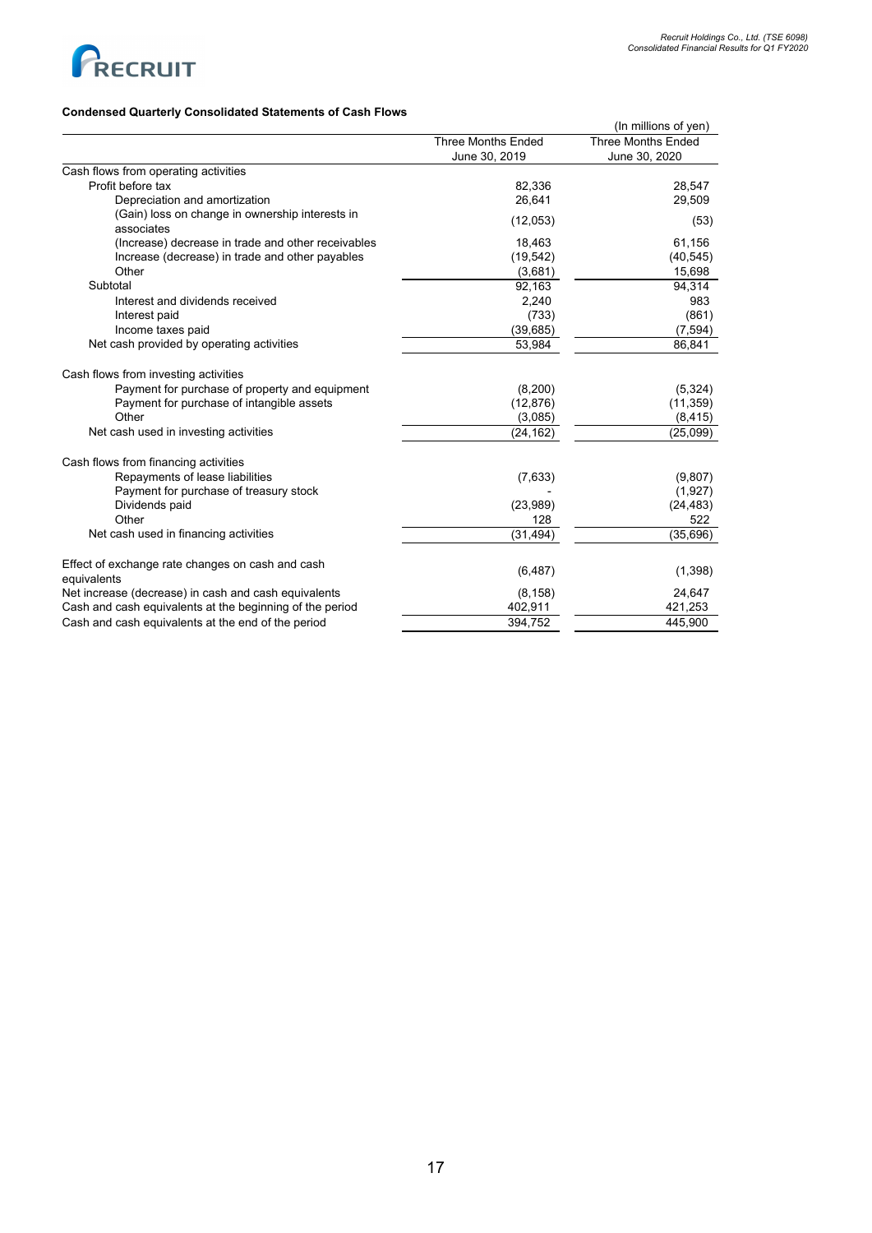

# **Condensed Quarterly Consolidated Statements of Cash Flows**

| oonoonaatoa otatomonto                                          |                           | (In millions of yen) |
|-----------------------------------------------------------------|---------------------------|----------------------|
|                                                                 | <b>Three Months Ended</b> | Three Months Ended   |
|                                                                 | June 30, 2019             | June 30, 2020        |
| Cash flows from operating activities                            |                           |                      |
| Profit before tax                                               | 82,336                    | 28,547               |
| Depreciation and amortization                                   | 26.641                    | 29,509               |
| (Gain) loss on change in ownership interests in<br>associates   | (12,053)                  | (53)                 |
| (Increase) decrease in trade and other receivables              | 18,463                    | 61,156               |
| Increase (decrease) in trade and other payables                 | (19, 542)                 | (40, 545)            |
| Other                                                           | (3,681)                   | 15,698               |
| Subtotal                                                        | 92,163                    | 94,314               |
| Interest and dividends received                                 | 2,240                     | 983                  |
| Interest paid                                                   | (733)                     | (861)                |
| Income taxes paid                                               | (39, 685)                 | (7, 594)             |
| Net cash provided by operating activities                       | 53,984                    | 86,841               |
| Cash flows from investing activities                            |                           |                      |
| Payment for purchase of property and equipment                  | (8,200)                   | (5, 324)             |
| Payment for purchase of intangible assets                       | (12, 876)                 | (11, 359)            |
| Other                                                           | (3,085)                   | (8, 415)             |
| Net cash used in investing activities                           | (24, 162)                 | (25,099)             |
| Cash flows from financing activities                            |                           |                      |
| Repayments of lease liabilities                                 | (7,633)                   | (9,807)              |
| Payment for purchase of treasury stock                          |                           | (1,927)              |
| Dividends paid                                                  | (23,989)                  | (24, 483)            |
| Other                                                           | 128                       | 522                  |
| Net cash used in financing activities                           | (31, 494)                 | (35, 696)            |
| Effect of exchange rate changes on cash and cash<br>equivalents | (6, 487)                  | (1,398)              |
| Net increase (decrease) in cash and cash equivalents            | (8, 158)                  | 24,647               |
| Cash and cash equivalents at the beginning of the period        | 402,911                   | 421,253              |
| Cash and cash equivalents at the end of the period              | 394,752                   | 445,900              |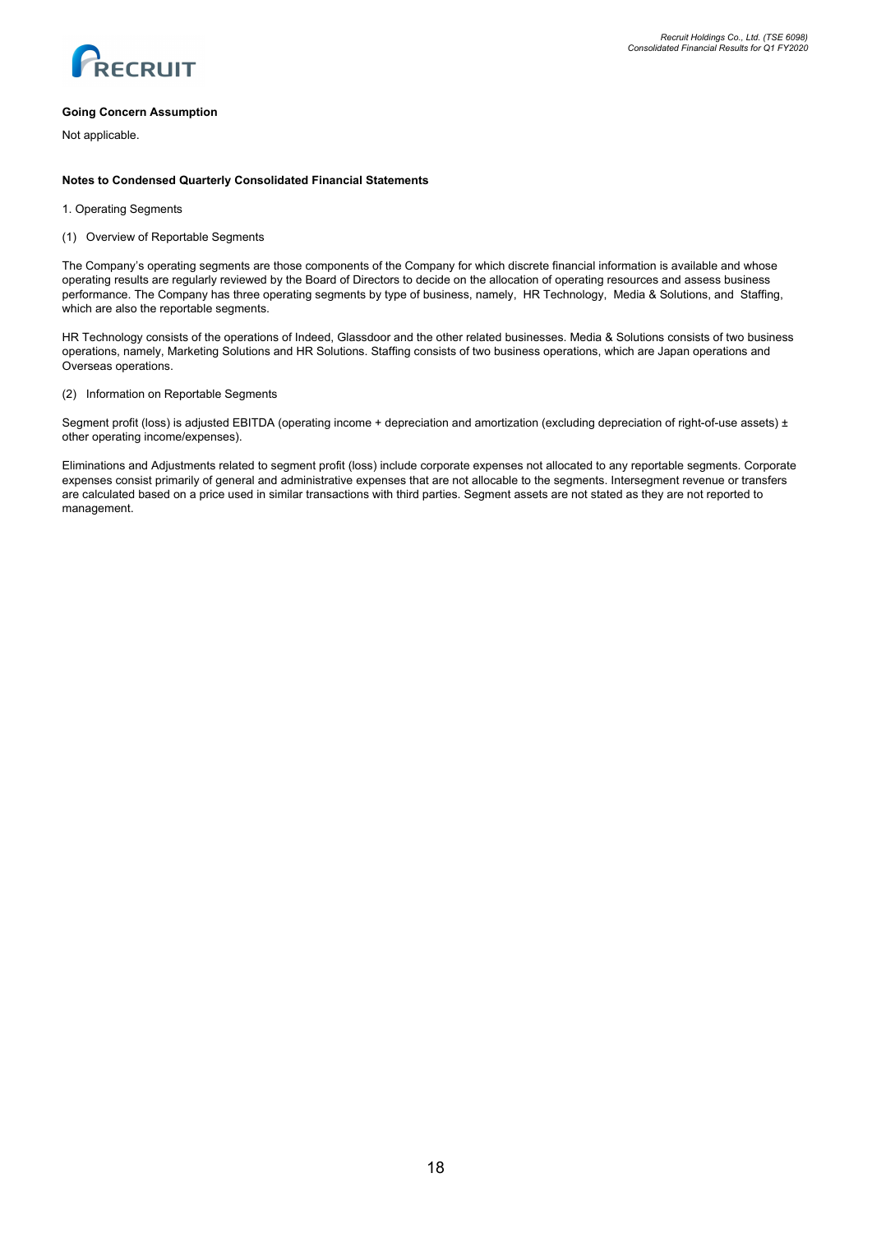

## **Going Concern Assumption**

Not applicable.

## **Notes to Condensed Quarterly Consolidated Financial Statements**

- 1. Operating Segments
- (1) Overview of Reportable Segments

The Company's operating segments are those components of the Company for which discrete financial information is available and whose operating results are regularly reviewed by the Board of Directors to decide on the allocation of operating resources and assess business performance. The Company has three operating segments by type of business, namely, HR Technology, Media & Solutions, and Staffing, which are also the reportable segments.

HR Technology consists of the operations of Indeed, Glassdoor and the other related businesses. Media & Solutions consists of two business operations, namely, Marketing Solutions and HR Solutions. Staffing consists of two business operations, which are Japan operations and Overseas operations.

### (2) Information on Reportable Segments

Segment profit (loss) is adjusted EBITDA (operating income + depreciation and amortization (excluding depreciation of right-of-use assets) ± other operating income/expenses).

Eliminations and Adjustments related to segment profit (loss) include corporate expenses not allocated to any reportable segments. Corporate expenses consist primarily of general and administrative expenses that are not allocable to the segments. Intersegment revenue or transfers are calculated based on a price used in similar transactions with third parties. Segment assets are not stated as they are not reported to management.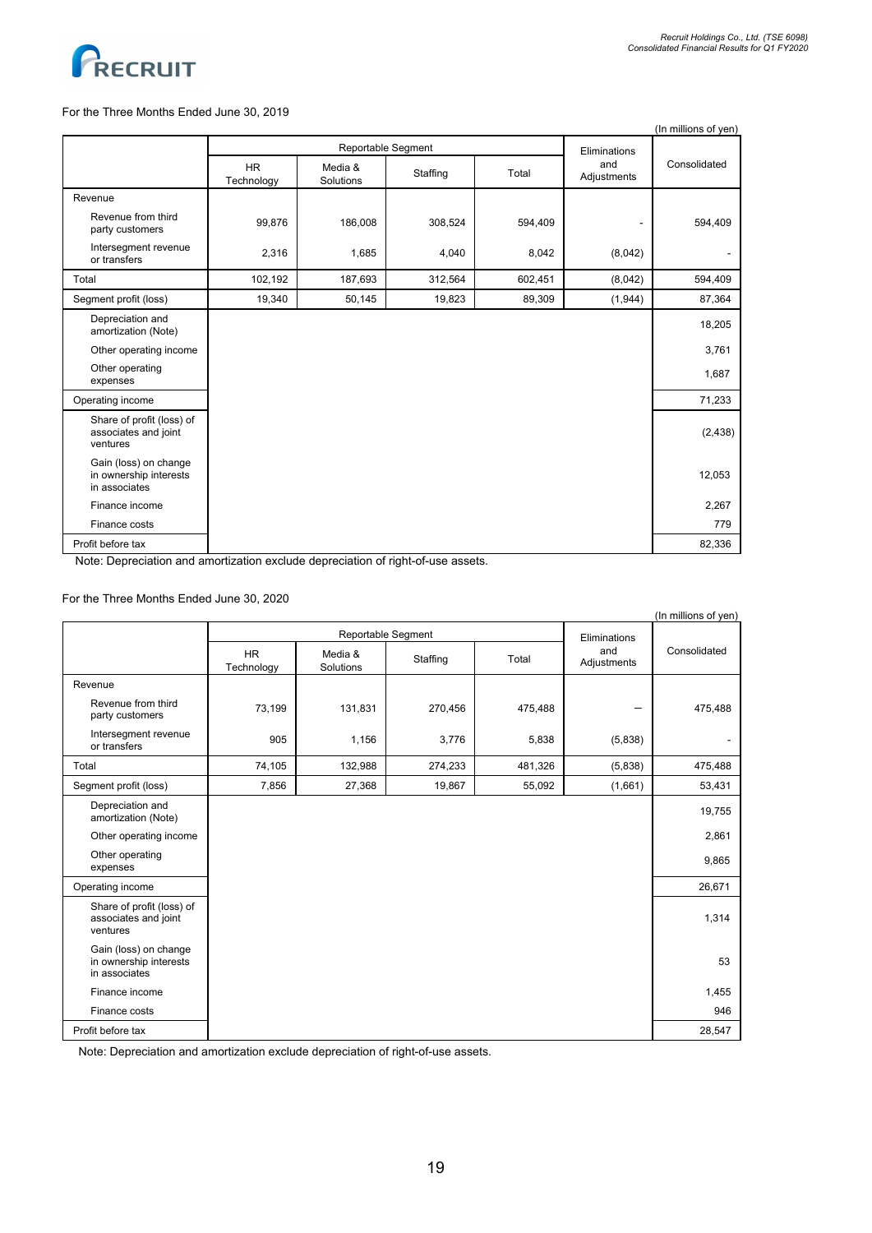

## For the Three Months Ended June 30, 2019

|                                                                  |                         |                                    |          |         |                    | (In millions of yen) |
|------------------------------------------------------------------|-------------------------|------------------------------------|----------|---------|--------------------|----------------------|
|                                                                  |                         | Reportable Segment<br>Eliminations |          |         |                    |                      |
|                                                                  | <b>HR</b><br>Technology | Media &<br>Solutions               | Staffing | Total   | and<br>Adjustments | Consolidated         |
| Revenue                                                          |                         |                                    |          |         |                    |                      |
| Revenue from third<br>party customers                            | 99,876                  | 186,008                            | 308,524  | 594,409 |                    | 594,409              |
| Intersegment revenue<br>or transfers                             | 2,316                   | 1,685                              | 4,040    | 8,042   | (8,042)            | ۰.                   |
| Total                                                            | 102,192                 | 187,693                            | 312,564  | 602,451 | (8,042)            | 594,409              |
| Segment profit (loss)                                            | 19,340                  | 50,145                             | 19,823   | 89,309  | (1,944)            | 87,364               |
| Depreciation and<br>amortization (Note)                          |                         |                                    |          |         |                    | 18,205               |
| Other operating income                                           |                         |                                    |          |         |                    | 3,761                |
| Other operating<br>expenses                                      |                         |                                    |          |         |                    | 1,687                |
| Operating income                                                 |                         |                                    |          |         |                    | 71,233               |
| Share of profit (loss) of<br>associates and joint<br>ventures    |                         |                                    |          |         |                    | (2, 438)             |
| Gain (loss) on change<br>in ownership interests<br>in associates |                         |                                    |          |         |                    | 12,053               |
| Finance income                                                   |                         |                                    |          |         |                    | 2,267                |
| Finance costs                                                    |                         |                                    |          |         |                    | 779                  |
| Profit before tax                                                |                         |                                    |          |         |                    | 82,336               |

Note: Depreciation and amortization exclude depreciation of right-of-use assets.

# For the Three Months Ended June 30, 2020

|                                                                  |                         |                      |          |              |                    | (In millions of yen) |
|------------------------------------------------------------------|-------------------------|----------------------|----------|--------------|--------------------|----------------------|
|                                                                  | Reportable Segment      |                      |          | Eliminations |                    |                      |
|                                                                  | <b>HR</b><br>Technology | Media &<br>Solutions | Staffing | Total        | and<br>Adjustments | Consolidated         |
| Revenue                                                          |                         |                      |          |              |                    |                      |
| Revenue from third<br>party customers                            | 73,199                  | 131,831              | 270,456  | 475,488      |                    | 475,488              |
| Intersegment revenue<br>or transfers                             | 905                     | 1,156                | 3,776    | 5,838        | (5,838)            | ۰.                   |
| Total                                                            | 74,105                  | 132,988              | 274,233  | 481,326      | (5,838)            | 475,488              |
| Segment profit (loss)                                            | 7,856                   | 27,368               | 19,867   | 55,092       | (1,661)            | 53,431               |
| Depreciation and<br>amortization (Note)                          |                         |                      |          |              |                    | 19,755               |
| Other operating income                                           |                         |                      |          |              |                    | 2,861                |
| Other operating<br>expenses                                      |                         |                      |          |              |                    | 9,865                |
| Operating income                                                 |                         |                      |          |              |                    | 26,671               |
| Share of profit (loss) of<br>associates and joint<br>ventures    |                         |                      |          |              |                    | 1,314                |
| Gain (loss) on change<br>in ownership interests<br>in associates |                         |                      |          |              |                    | 53                   |
| Finance income                                                   |                         |                      |          |              |                    | 1,455                |
| Finance costs                                                    |                         |                      |          |              |                    | 946                  |
| Profit before tax                                                |                         |                      |          |              |                    | 28,547               |

Note: Depreciation and amortization exclude depreciation of right-of-use assets.